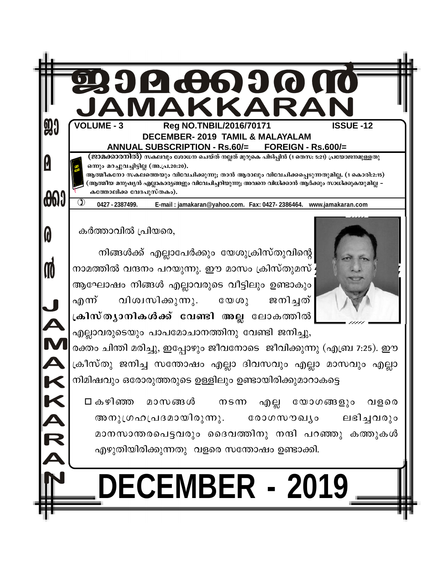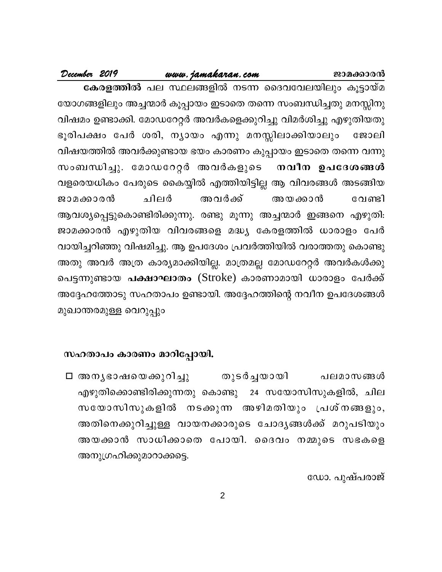#### www.jamakaran.com

December 2019

**കേരളത്തിൽ** പല സ്ഥലങ്ങളിൽ നടന്ന ദൈവവേലയിലും കൂട്ടായ്മ യോഗങ്ങളിലും അച്ചന്മാർ കൂപ്പായം ഇടാതെ തന്നെ സംബന്ധിച്ചതു മനസ്സിനു വിഷമം ഉണ്ടാക്കി. മോഡറേറ്റർ അവർകളെക്കുറിച്ചു വിമർശിച്ചു എഴുതിയതു ഭൂരിപക്ഷം പേർ ശരി, ന്യായം എന്നു മനസ്സിലാക്കിയാലും ജോലി വിഷയത്തിൽ അവർക്കുണ്ടായ ഭയം കാരണം കുപ്പായം ഇടാതെ തന്നെ വന്നു സംബന്ധിച്ചു. മോഡറേറ്റർ അവർകളുടെ നവീന ഉപദേശങ്ങൾ വളരെയധികം പേരുടെ കൈയ്യിൽ എത്തിയിട്ടില്ല ആ വിവരങ്ങൾ അടങ്ങിയ ചിലർ അവർക്ക് ജാമക്കാരൻ അയക്കാൻ വേണ്ടി ആവശ്യപ്പെട്ടുകൊണ്ടിരിക്കുന്നു. രണ്ടു മൂന്നു അച്ചന്മാർ ഇങ്ങനെ എഴുതി: ജാമക്കാരൻ എഴുതിയ വിവരങ്ങളെ മദ്ധ്യ കേരളത്തിൽ ധാരാളം പേർ വായിച്ചറിഞ്ഞു വിഷമിച്ചു. ആ ഉപദേശം പ്രവർത്തിയിൽ വരാത്തതു കൊണ്ടു അതു അവർ അത്ര കാര്യമാക്കിയില്ല. മാത്രമല്ല മോഡറേറ്റർ അവർകൾക്കു പെട്ടന്നുണ്ടായ **പക്ഷാഘാതം** (Stroke) കാരണാമായി ധാരാളം പേർക്ക് അദ്ദേഹത്തോടു സഹതാപം ഉണ്ടായി. അദ്ദേഹത്തിന്റെ നവീന ഉപദേശങ്ങൾ മുഖാന്തരമുള്ള വെറുപ്പും

#### സഹതാപം കാരണം മാറിപ്പോയി.

തുടർച്ചയായി ⊡ അനൃഭാഷയെക്കുറിച്ചു പലമാസങ്ങൾ എഴുതിക്കൊണ്ടിരിക്കുന്നതു കൊണ്ടു 24 സയോസിസുകളിൽ, ചില സയോസിസുകളിൽ നടക്കുന്ന അഴിമതിയും പ്രശ്നങ്ങളും, അതിനെക്കുറിച്ചുള്ള വായനക്കാരുടെ ചോദൃങ്ങൾക്ക് മറുപടിയും അയക്കാൻ സാധിക്കാതെ പോയി. ദൈവം നമ്മുടെ സഭകളെ അനുഗ്രഹിക്കുമാറാക്കട്ടെ.

ഡോ. പുഷ്പരാജ്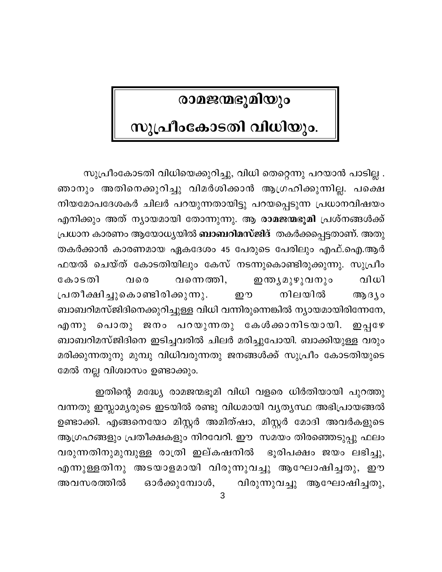# രാമജന്മഭൂമിയും

# സുപ്രീംകോടതി വിധിയും.

സുപ്രീംകോടതി വിധിയെക്കുറിച്ചു, വിധി തെറ്റെന്നു പറയാൻ പാടില്ല . ഞാനും അതിനെക്കുറിച്ചു വിമർശിക്കാൻ ആഗ്രഹിക്കുന്നില്ല. പക്ഷെ നിയമോപദേശകർ ചിലർ പറയുന്നതായിട്ടു പറയപ്പെടുന്ന പ്രധാനവിഷയം എനിക്കും അത് ന്യായമായി തോന്നുന്നു. ആ രാമജന്മഭൂമി പ്രശ്നങ്ങൾക്ക് പ്രധാന കാരണം ആയോധ്യയിൽ **ബാബറിമസ്ജിദ്** തകർക്കപ്പെട്ടതാണ്. അതു തകർക്കാൻ കാരണമായ ഏകദേശം 45 പേരുടെ പേരിലും എഫ്.ഐ.ആർ ഫയൽ ചെയ്ത് കോടതിയിലും കേസ് നടന്നുകൊണ്ടിരുക്കുന്നു. സുപ്രീം **ഇന്ത്യമുഴുവനും** വിധി കോടതി വന്നെത്തി, വരെ പ്രതീക്ഷിച്ചുകൊണ്ടിരിക്കുന്നു. നിലയിൽ றை ആദ്യം ബാബറിമസ്ജിദിനെക്കുറിച്ചുള്ള വിധി വന്നിരുന്നെങ്കിൽ ന്യായമായിരിന്നേനേ, എന്നു പൊതു ജനം പറയുന്നതു കേൾക്കാനിടയായി. **ற**்பு மே ബാബറിമസ്ജിദിനെ ഇടിച്ചവരിൽ ചിലർ മരിച്ചുപോയി. ബാക്കിയുള്ള വരും മരിക്കുന്നതുനു മുമ്പു വിധിവരുന്നതു ജനങ്ങൾക്ക് സുപ്രീം കോടതിയുടെ മേൽ നല്ല വിശ്വാസം ഉണ്ടാക്കും.

ഇതിന്റെ മദ്ധ്യേ രാമജന്മഭൂമി വിധി വളരെ ധിർതിയായി പുറത്തു വന്നതു ഇസ്ലാമ്യരുടെ ഇടയിൽ രണ്ടു വിധമായി വ്യത്യസ്ഥ അഭിപ്രായങ്ങൽ ഉണ്ടാക്കി. എങ്ങനെയോ മിസ്റ്റർ അമിത്ഷാ, മിസ്റ്റർ മോദി അവർകളുടെ ആഗ്രഹങ്ങളും പ്രതീക്ഷകളും നിറവേറി. ഈ സമയം തിരഞ്ഞെടുപ്പു ഫലം വരുന്നതിനുമുമ്പുള്ള രാത്രി ഇല്കഷനിൽ ഭൂരിപക്ഷം ജയം ലഭിച്ചു, എന്നുള്ളതിനു അടയാളമായി വിരുന്നുവച്ചു ആഘോഷിച്ചതു, ഈ ഓർക്കുമ്പോൾ, വിരുന്നുവച്ചു ആഘോഷിച്ചതു, അവസരത്തിൽ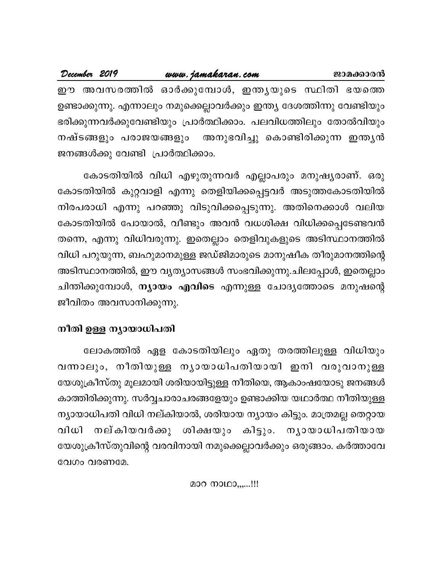|  | December 2019 |                                   | www.jamakaran.com |  | ജാമക്കാരൻ                                                               |
|--|---------------|-----------------------------------|-------------------|--|-------------------------------------------------------------------------|
|  |               |                                   |                   |  | ഈ അവസരത്തിൽ ഓർക്കുമ്പോൾ, ഇന്തൃയുടെ സ്ഥിതി ഭയത്തെ                        |
|  |               |                                   |                   |  | ഉണ്ടാക്കുന്നു. എന്നാലും നമുക്കെല്ലാവർക്കും ഇന്ത്യ ദേശത്തിന്നു വേണ്ടിയും |
|  |               |                                   |                   |  | ഭരിക്കുന്നവർക്കുവേണ്ടിയും പ്രാർത്ഥിക്കാം. പലവിധത്തിലും തോൽവിയും         |
|  |               |                                   |                   |  | നഷ്ടങ്ങളും പരാജയങ്ങളും  അനുഭവിച്ചു കൊണ്ടിരിക്കുന്ന ഇന്തൃൻ               |
|  |               | ജനങ്ങൾക്കു വേണ്ടി പ്രാർത്ഥിക്കാം. |                   |  |                                                                         |

കോടതിയിൽ വിധി എഴുതുന്നവർ എല്ലാപരും മനുഷ്യരാണ്. ഒരു കോടതിയിൽ കുറ്റവാളി എന്നു തെളിയിക്കപ്പെട്ടവർ അടുത്തകോടതിയിൽ നിരപരാധി എന്നു പറഞ്ഞു വിടുവിക്കപ്പെടുന്നു. അതിനെക്കാൾ വലിയ കോടതിയിൽ പോയാൽ, വീണ്ടും അവൻ വധശിക്ഷ വിധിക്കപ്പെടേണ്ടവൻ തന്നെ, എന്നു വിധിവരുന്നു. ഇതെല്ലാം തെളിവുകളുടെ അടിസ്ഥാനത്തിൽ വിധി പറുയുന്ന, ബഹുമാനമുള്ള ജഡ്ജിമാരുടെ മാനുഷീക തീരുമാനത്തിന്റെ അടിസ്ഥാനത്തിൽ, ഈ വൃത്യാസങ്ങൾ സംഭവിക്കുന്നു.ചിലപ്പോൾ, ഇതെല്ലാം ചിന്തിക്കുമ്പോൾ, **ന്യായം എവിടെ** എന്നുള്ള ചോദ്യത്തോടെ മനുഷന്റെ ജീവിതം അവസാനിക്കുന്നു.

# നീതി ഉള്ള ന്യായാധിപതി

ലോകത്തിൽ ഏള കോടതിയിലും ഏതു തരത്തിലുള്ള വിധിയും വന്നാലും, നീതിയുള്ള നൃായാധിപതിയായി ഇനി വരുവാനുള്ള യേശുക്രീസ്തു മൂലമായി ശരിയായിട്ടുള്ള നീതിയെ, ആകാംഷയോടു ജനങ്ങൾ കാത്തിരിക്കുന്നു. സർവ്വചാരാചരങ്ങളേയും ഉണ്ടാക്കിയ യഥാർത്ഥ നീതിയുള്ള ന്യായാധിപതി വിധി നല്കിയാൽ, ശരിയായ ന്യായം കിട്ടും. മാത്രമല്ല തെറ്റായ നല്കിയവർക്കു ശിക്ഷയും കിട്ടും. നൃായാധിപതിയായ വിധി യേശുക്രീസ്തുവിന്റെ വരവിനായി നമുക്കെല്ലാവർക്കും ഒരുങ്ങാം. കർത്താവേ വേഗം വരണമേ.

മാറ നാഥാ,,,...!!!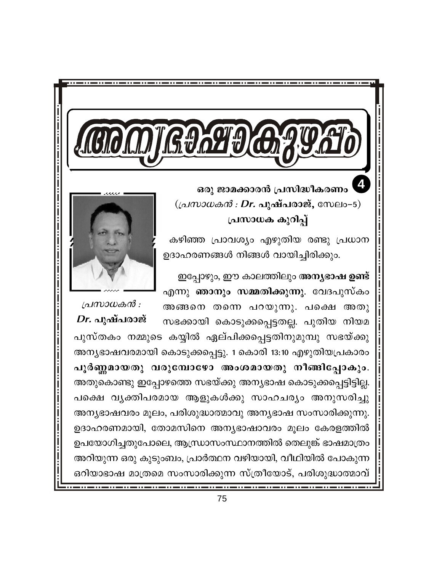ഒരു ജാമക്കാരൻ പ്രസിദ്ധീകരണം  $((\Delta M) \otimes \Delta M)$  : Dr. പുഷ്പരാജ്, സേലം-5) പ്രസാധക കുറിപ്പ്

കഴിഞ്ഞ പ്രാവശ്യം എഴുതിയ രണ്ടു പ്രധാന ഉദാഹരണങ്ങൾ നിങ്ങൾ വായിച്ചിരിക്കും.

ഇപ്പോഴും, ഈ കാലത്തിലും <mark>അന്യഭാഷ ഉണ്ട്</mark> എന്നു ഞാനും സമ്മതിക്കുന്നു. വേദപുസ്കം അങ്ങനെ തന്നെ പറയുന്നു. പക്ഷെ അതു



പ്രസാധകൻ :  $Dr.$  പുഷ്പരാജ് സഭക്കായി കൊടുക്കപ്പെട്ടതല്ല. പുതിയ നിയമ പുസ്തകം നമ്മുടെ കയ്യിൽ ഏല്പിക്കപ്പെട്ടതിനുമുമ്പു സഭയ്ക്കു അന്യഭാഷവരമായി കൊടുക്കപ്പെട്ടു. 1 കൊരി 13:10 എഴുതിയപ്രകാരം പൂർണ്ണമായതു വരുമ്പോഴോ അംശമായതു നീങ്ങിപ്പോകും. അതുകൊണ്ടു ഇപ്പോഴത്തെ സഭയ്ക്കു അന്യഭാഷ കൊടുക്കപ്പെട്ടിട്ടില്ല. പക്ഷെ വൃക്തിപരമായ ആളുകൾക്കു സാഹചര്യം അനുസരിച്ചു അന്യഭാഷവരം മൂലം, പരിശുദ്ധാത്മാവു അന്യഭാഷ സംസാരിക്കുന്നു. ഉദാഹരണമായി, തോമസിനെ അന്യഭാഷാവരം മൂലം കേരളത്തിൽ ഉപയോഗിച്ചതുപോലെ, ആന്ധ്രാസംസ്ഥാനത്തിൽ തെലുങ്ക് ഭാഷമാത്രം അറിയുന്ന ഒരു കുടുംബം, പ്രാർത്ഥന വഴിയായി, വീഥിയിൽ പോകുന്ന ഒറിയാഭാഷ മാത്രമെ സംസാരിക്കുന്ന സ്ത്രീയോട്, പരിശുദ്ധാത്മാവ്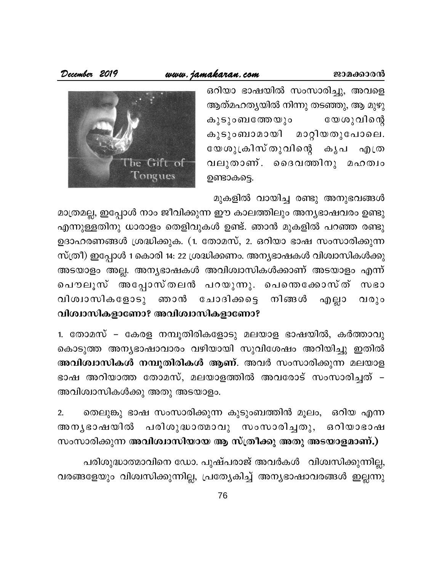#### www.jamakaran.com

December 2019

ഒറിയാ ഭാഷയിൽ സംസാരിച്ചു, അവളെ ആത്മഹത്യയിൽ നിന്നു തടഞ്ഞു, ആ മുഴു കൂടുംബത്തേയും യേശുവിന്റെ മാറ്റിയതുപോലെ. കുടുംബാമായി യേശുക്രിസ്തുവിന്റെ കൃപ എത്ര വലുതാണ്. ദൈവത്തിനു മഹത്വം ഉണ്ടാകട്ടെ.



മുകളിൽ വായിച്ച രണ്ടു അനുഭവങ്ങൾ

മാത്രമല്ല, ഇപ്പോൾ നാം ജീവിക്കുന്ന ഈ കാലത്തിലും അന്യഭാഷവരം ഉണ്ടു എന്നുള്ളതിനു ധാരാളം തെളിവുകൾ ഉണ്ട്. ഞാൻ മുകളിൽ പറഞ്ഞ രണ്ടു ഉദാഹരണങ്ങൾ ശ്രദ്ധിക്കുക. (1. തോമസ്, 2. ഒറിയാ ഭാഷ സംസാരിക്കുന്ന സ്ത്രീ) ഇപ്പോൾ 1 കൊരി 14: 22 ശ്രദ്ധിക്കണം. അന്യഭാഷകൾ വിശ്വാസികൾക്കു അടയാളം അല്ല. അന്യഭാഷകൾ അവിശ്വാസികൾക്കാണ് അടയാളം എന്ന് പൌലൂസ് അപ്പോസ്തലൻ പറയുന്നു. പെന്തെക്കോസ്ത് സഭാ വിശ്വാസികളോടു ഞാൻ ചോദിക്കട്ടെ നിങ്ങൾ എല്ലാ വരും വിശ്വാസികളാണോ? അവിശ്വാസികളാണോ?

1. തോമസ് – കേരള നമ്പൂതിരികളോടു മലയാള ഭാഷയിൽ, കർത്താവു കൊടുത്ത അന്യഭാഷാവാരം വഴിയായി സുവിശേഷം അറിയിച്ചു ഇതിൽ അവിശ്വാസികൾ നമ്പുതിരികൾ ആണ്. അവർ സംസാരിക്കുന്ന മലയാള ഭാഷ അറിയാത്ത തോമസ്, മലയാളത്തിൽ അവരോട് സംസാരിച്ചത് – അവിശ്വാസികൾക്കു അതു അടയാളം.

തെലുങ്കു ഭാഷ സംസാരിക്കുന്ന കുടുംബത്തിൻ മൂലം, ഒറിയ എന്ന  $2.$ അനൃഭാഷയിൽ പരിശുദ്ധാത്മാവു സംസാരിച്ചതു, ഒറിയാഭാഷ സംസാരിക്കുന്ന അവിശ്വാസിയായ ആ സ്ത്രീക്കു അതു അടയാളമാണ്.)

പരിശുദ്ധാത്മാവിനെ ഡോ. പുഷ്പരാജ് അവർകൾ വിശ്വസിക്കുന്നില്ല, വരങ്ങളേയും വിശ്വസിക്കുന്നില്ല, പ്രത്യേകിച്ച് അന്യഭാഷാവരങ്ങൾ ഇല്ലന്നു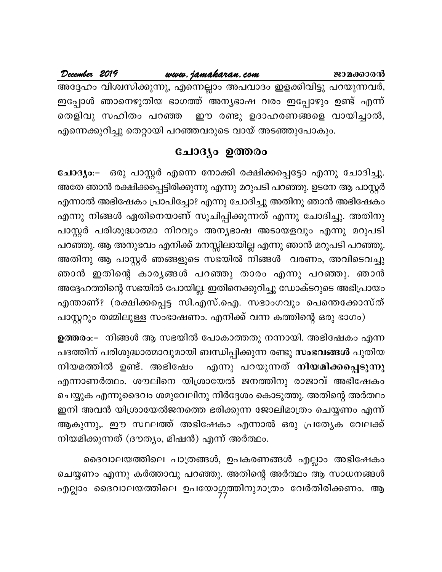December 2019 www.jamakaran.com ജാമക്കാരൻ അദ്ദേഹം വിശ്വസിക്കുന്നു, എന്നെല്ലാം അപവാദം ഇളക്കിവിട്ടു പറയുന്നവർ, ഇപ്പോൾ ഞാനെഴുതിയ ഭാഗത്ത് അന്യഭാഷ വരം ഇപ്പോഴും ഉണ്ട് എന്ന് തെളിവു സഹിതം പറഞ്ഞ ഈ രണ്ടു ഉദാഹരണങ്ങളെ വായിച്ചാൽ, എന്നെക്കുറിച്ചു തെറ്റായി പറഞ്ഞവരുടെ വായ് അടഞ്ഞുപോകും.

### ചോദ്യം ഉത്തരം

ചോദ്യം:– ഒരു പാസ്റ്റർ എന്നെ നോക്കി രക്ഷിക്കപ്പെട്ടോ എന്നു ചോദിച്ചു. അതേ ഞാൻ രക്ഷിക്കപ്പെട്ടിരിക്കുന്നു എന്നു മറുപടി പറഞ്ഞു. ഉടനേ ആ പാസ്റ്റർ എന്നാൽ അഭിഷേകം പ്രാപിച്ചോ? എന്നു ചോദിച്ചു അതിനു ഞാൻ അഭിഷേകം എന്നു നിങ്ങൾ ഏതിനെയാണ് സൂചിപ്പിക്കുന്നത് എന്നു ചോദിച്ചു. അതിനു പാസ്റ്റർ പരിശുദ്ധാത്മാ നിറവും അന്യഭാഷ അടായളവും എന്നു മറുപടി പറഞ്ഞു. ആ അനുഭവം എനിക്ക് മനസ്സിലായില്ല എന്നു ഞാൻ മറുപടി പറഞ്ഞു. അതിനു ആ പാസ്റ്റർ ഞങ്ങളുടെ സഭയിൽ നിങ്ങൾ വരണം, അവിടെവച്ചു ഞാൻ ഇതിന്റെ കാരൃങ്ങൾ പറഞ്ഞു താരം എന്നു പറഞ്ഞു. ഞാൻ അദ്ദേഹത്തിന്റെ സഭയിൽ പോയില്ല. ഇതിനെക്കുറിച്ചു ഡോക്ടറുടെ അഭിപ്രായം എന്താണ്? (രക്ഷിക്കപ്പെട്ട സി.എസ്.ഐ. സഭാംഗവും പെന്തെക്കോസ്ത് പാസ്റ്ററും തമ്മിലുള്ള സംഭാഷണം. എനിക്ക് വന്ന കത്തിന്റെ ഒരു ഭാഗം)

ഉത്തരം:– നിങ്ങൾ ആ സഭയിൽ പോകാത്തതു നന്നായി. അഭിഷേകം എന്ന പദത്തിന് പരിശുദ്ധാത്മാവുമായി ബന്ധിപ്പിക്കുന്ന രണ്ടു സംഭവങ്ങൾ പുതിയ എന്നു പറയുന്നത് നിയമിക്കപ്പെടുന്നു നിയമത്തിൽ ഉണ്ട്. അഭിഷേം എന്നാണർത്ഥം. ശൗലിനെ യിശ്രായേൽ ജനത്തിനു രാജാവ് അഭിഷേകം ചെയ്യുക എന്നുദൈവം ശമുവേലിനു നിർദ്ദേശം കൊടുത്തു. അതിന്റെ അർത്ഥം ഇനി അവൻ യിശ്രായേൽജനത്തെ ഭരിക്കുന്ന ജോലിമാത്രം ചെയ്യണം എന്ന് ആകുന്നു,. ഈ സ്ഥലത്ത് അഭിഷേകം എന്നാൽ ഒരു പ്രത്യേക വേലക്ക് നിയമിക്കുന്നത് (ദൗത്യം, മിഷൻ) എന്ന് അർത്ഥം.

ദൈവാലയത്തിലെ പാത്രങ്ങൾ, ഉപകരണങ്ങൾ എല്ലാം അഭിഷേകം ചെയ്യണം എന്നു കർത്താവു പറഞ്ഞു. അതിന്റെ അർത്ഥം ആ സാധനങ്ങൾ എല്ലാം ദൈവാലയത്തിലെ ഉപയോഗത്തിനുമാത്രം വേർതിരിക്കണം. ആ<br>77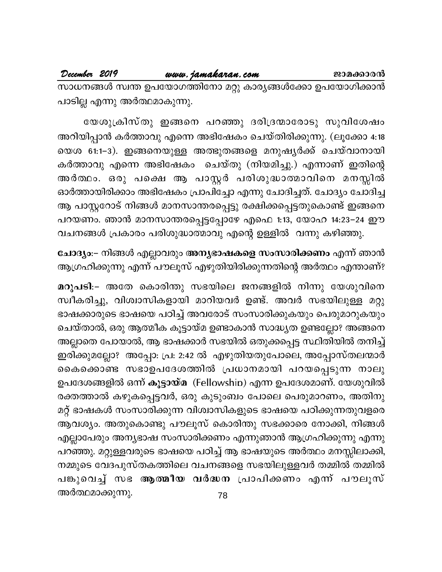#### December 2019 www.jamakaran.com

ജാമക്കാരൻ

സാധനങ്ങൾ സ്വന്ത ഉപയോഗത്തിനോ മറ്റു കാര്യങ്ങൾക്കോ ഉപയോഗിക്കാൻ പാടില്ല എന്നു അർത്ഥമാകുന്നു.

യേശുക്രിസ്തു ഇങ്ങനെ പറഞ്ഞു ദരിദ്രന്മാരോടു സുവിശേഷം അറിയിപ്പാൻ കർത്താവു എന്നെ അഭിഷേകം ചെയ്തിരിക്കുന്നു. (ലൂക്കോ 4:18 യെശ 61:1–3). ഇങ്ങനെയുള്ള അത്ഭുതങ്ങളെ മനുഷ്യർക്ക് ചെയ്വാനായി കർത്താവു എന്നെ അഭിഷേകം ചെയ്തു (നിയമിച്ചു.) എന്നാണ് ഇതിന്റെ അർത്ഥം. ഒരു പക്ഷെ ആ പാസ്റ്റർ പരിശുദ്ധാത്മാവിനെ മനസ്സിൽ ഓർത്തായിരിക്കാം അഭിഷേകം പ്രാപിച്ചോ എന്നു ചോദിച്ചത്. ചോദ്യം ചോദിച്ച ആ പാസ്റ്ററോട് നിങ്ങൾ മാനസാന്തരപ്പെട്ടു രക്ഷിക്കപ്പെട്ടതുകൊണ്ട് ഇങ്ങനെ പറയണം. ഞാൻ മാനസാന്തരപ്പെട്ടപ്പോഴേ എഫെ 1:13, യോഹ 14:23−24 ഈ വചനങ്ങൾ പ്രകാരം പരിശുദ്ധാത്മാവു എന്റെ ഉള്ളിൽ വന്നു കഴിഞ്ഞു.

ചോദ്യം:– നിങ്ങൾ എല്ലാവരും <mark>അന്യഭാഷകളെ സംസാരിക്കണം</mark> എന്ന് ഞാൻ ആഗ്രഹിക്കുന്നു എന്ന് പൗലൂസ് എഴുതിയിരിക്കുന്നതിന്റെ അർത്ഥം എന്താണ്?

മറുപടി:– അതേ കൊരിന്തു സഭയിലെ ജനങ്ങളിൽ നിന്നു യേശുവിനെ സ്വീകരിച്ചു, വിശ്വാസികളായി മാറിയവർ ഉണ്ട്. അവർ സഭയിലുള്ള മറ്റു ഭാഷക്കാരുടെ ഭാഷയെ പഠിച്ച് അവരോട് സംസാരിക്കുകയും പെരുമാറുകയും ചെയ്താൽ, ഒരു ആത്മീക കൂട്ടായ്മ ഉണ്ടാകാൻ സാദ്ധ്യത ഉണ്ടല്ലോ? അങ്ങനെ അല്ലാതെ പോയാൽ, ആ ഭാഷക്കാർ സഭയിൽ ഒതുക്കപ്പെട്ട സ്ഥിതിയിൽ തനിച്ച് ഇരിക്കുമല്ലോ? അപ്പോ: പ്ര: 2:42 ൽ എഴുതിയതുപോലെ, അപ്പോസ്തലന്മാർ കൈക്കൊണ്ട സഭാഉപദേശത്തിൽ പ്രധാനമായി പറയപ്പെടുന്ന നാലു ഉപദേശങ്ങളിൽ ഒന്ന് കൂട്ടായ്മ(Fellowship)എന്ന ഉപദേശമാണ്. യേശുവിൽ രക്തത്താൽ കഴുകപ്പെട്ടവർ, ഒരു കുടുംബം പോലെ പെരുമാറണം, അതിനു മറ്റ് ഭാഷകൾ സംസാരിക്കുന്ന വിശ്വാസികളുടെ ഭാഷയെ പഠിക്കുന്നതുവളരെ ആവശ്യം. അതുകൊണ്ടു പൗലൂസ് കൊരിന്തു സഭക്കാരെ നോക്കി, നിങ്ങൾ എല്ലാപേരും അന്യഭാഷ സംസാരിക്കണം എന്നുഞാൻ ആഗ്രഹിക്കുന്നു എന്നു പറഞ്ഞു. മറ്റുള്ളവരുടെ ഭാഷയെ പഠിച്ച് ആ ഭാഷയുടെ അർത്ഥം മനസ്സിലാക്കി, നമ്മുടെ വേദപുസ്തകത്തിലെ വചനങ്ങളെ സഭയിലുള്ളവർ തമ്മിൽ തമ്മിൽ പങ്കുവെച്ച് സഭ <mark>ആത്മീയ വർദ്ധന</mark> പ്രാപിക്കണം എന്ന് പൗലൂസ് അർത്ഥമാക്കുന്നു.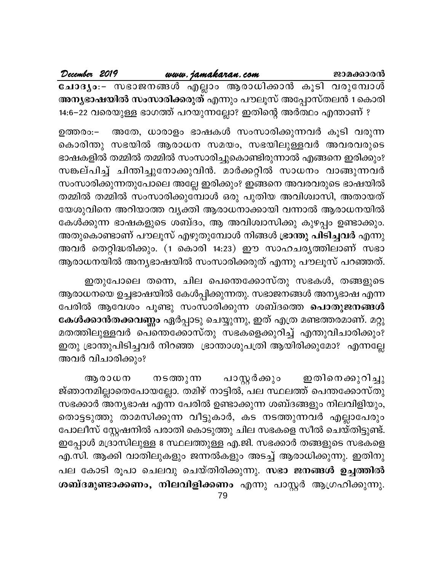December 2019 www.jamakaran.com ജാമക്കാരൻ ചോദ്യം:- സഭാജനങ്ങൾ എല്ലാം ആരാധിക്കാൻ കൂടി വരുമ്പോൾ അ<mark>ന്യഭാഷയിൽ സംസാരിക്കരുത്</mark> എന്നും പൗലൂസ് അപ്പോസ്തലൻ 1 കൊരി 14:6–22 വരെയുള്ള ഭാഗത്ത് പറയുന്നല്ലോ? ഇതിന്റെ അർത്ഥം എന്താണ് ?

അതേ, ധാരാളം ഭാഷകൾ സംസാരിക്കുന്നവർ കൂടി വരുന്ന ഉത്തരം:– കൊരിന്തു സഭയിൽ ആരാധന സമയം, സഭയിലുള്ളവർ അവരവരുടെ ഭാഷകളിൽ തമ്മിൽ തമ്മിൽ സംസാരിച്ചുകൊണ്ടിരുന്നാൽ എങ്ങനെ ഇരിക്കും? സങ്കല്പിച്ച് ചിന്തിച്ചുനോക്കുവിൻ. മാർക്കറ്റിൽ സാധനം വാങ്ങുന്നവർ സംസാരിക്കുന്നതുപോലെ അല്ലേ ഇരിക്കും? ഇങ്ങനെ അവരവരുടെ ഭാഷയിൽ തമ്മിൽ തമ്മിൽ സംസാരിക്കുമ്പോൾ ഒരു പുതിയ അവിശ്വാസി, അതായത് യേശുവിനെ അറിയാത്ത വൃക്തി ആരാധനാക്കായി വന്നാൽ ആരാധനയിൽ കേൾക്കുന്ന ഭാഷകളുടെ ശബ്ദം, ആ അവിശ്വാസിക്കു കുഴപ്പം ഉണ്ടാക്കും. അതുകൊണ്ടാണ് പൗലൂസ് എഴുതുമ്പോൾ നിങ്ങൾ ഭ്രാന്തു പിടിച്ചവർ എന്നു അവർ തെറ്റിദ്ധരിക്കും. (1 കൊരി 14:23) ഈ സാഹചര്യത്തിലാണ് സഭാ ആരാധനയിൽ അനൃഭാഷയിൽ സംസാരിക്കരുത് എന്നു പൗലൂസ് പറഞ്ഞത്.

ഇതുപോലെ തന്നെ, ചില പെന്തെക്കോസ്തു സഭകൾ, തങ്ങളുടെ ആരാധനയെ ഉച്ചഭാഷയിൽ കേൾപ്പിക്കുന്നതു. സഭാജനങ്ങൾ അന്യഭാഷ എന്ന പേരിൽ ആവേശം പൂണ്ടു സംസാരിക്കുന്ന ശബ്ദത്തെ <mark>പൊതുജനങ്ങൾ</mark> കേൾക്കാൻതക്കവണ്ണം ഏർപ്പാടു ചെയ്യുന്നു, ഇത് എത്ര മണ്ടത്തരമാണ്. മറ്റു മതത്തിലുള്ളവർ പെന്തെക്കോസ്തു സഭകളെക്കുറിച്ച് എന്തുവിചാരിക്കും? ഇതു ഭ്രാന്തുപിടിച്ചവർ നിറഞ്ഞ ഭ്രാന്താശുപത്രി ആയിരിക്കുമോ? എന്നല്ലേ അവർ വിചാരിക്കും?

പാസ്റ്റർക്കും നടത്തുന്ന .<br>ഇതിനെക്കുറിച്ചു ആരാധന ജ്ഞാനമില്ലാതെപോയല്ലോ. തമിഴ് നാട്ടിൽ, പല സ്ഥലത്ത് പെന്തക്കോസ്തു സഭക്കാർ അന്യഭാഷ എന്ന പേരിൽ ഉണ്ടാക്കുന്ന ശബ്ദങ്ങളും നിലവിളിയും, തൊട്ടടുത്തു താമസിക്കുന്ന വീട്ടുകാർ, കട നടത്തുന്നവർ എല്ലാപേരും പോലീസ് സ്റ്റേഷനിൽ പരാതി കൊടുത്തു ചില സഭകളെ സീൽ ചെയ്തിട്ടുണ്ട്. ഇപ്പോൾ മദ്രാസിലുള്ള 8 സ്ഥലത്തുള്ള എ.ജി. സഭക്കാർ തങ്ങളുടെ സഭകളെ എ.സി. ആക്കി വാതിലുകളും ജന്നൽകളും അടച്ച് ആരാധിക്കുന്നു. ഇതിനു പല കോടി രൂപാ ചെലവു ചെയ്തിരിക്കുന്നു. സഭാ ജനങ്ങൾ ഉച്ചത്തിൽ ശബ്ദമുണ്ടാക്കണം, നിലവിളിക്കണം എന്നു പാസ്റ്റർ ആഗ്രഹിക്കുന്നു.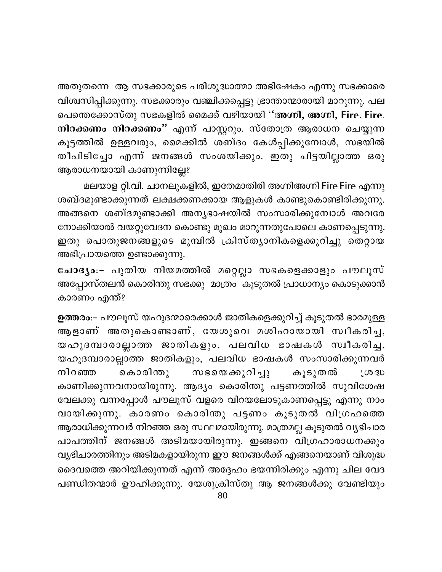അതുതന്നെ ആ സഭക്കാരുടെ പരിശുദ്ധാത്മാ അഭിഷേകം എന്നു സഭക്കാരെ വിശ്വസിപ്പിക്കുന്നു. സഭക്കാരും വഞ്ചിക്കപ്പെട്ടു ഭ്രാന്താന്മാരായി മാറുന്നു. പല പെന്തെക്കോസ്തു സഭകളിൽ മൈക്ക് വഴിയായി ''അഗ്നി, അഗ്നി, Fire. Fire. നിറക്കണം നിറക്കണം" എന്ന് പാസ്റ്ററും. സ്തോത്ര ആരാധന ചെയ്യുന്ന കൂട്ടത്തിൽ ഉള്ളവരും, മൈക്കിൽ ശബ്ദം കേൾപ്പിക്കുമ്പോൾ, സഭയിൽ തീപിടിച്ചോ എന്ന് ജനങ്ങൾ സംശയിക്കും. ഇതു ചിട്ടയില്ലാത്ത ഒരു ആരാധനയായി കാണുന്നില്ലേ?

മലയാള റ്റി.വി. ചാനലുകളിൽ, ഇതേമാതിരി അഗ്നിഅഗ്നി Fire Fire എന്നു ശബ്ദമുണ്ടാക്കുന്നത് ലക്ഷക്കണക്കായ ആളുകൾ കാണ്ടുകൊണ്ടിരിക്കുന്നു. അങ്ങനെ ശബ്ദമുണ്ടാക്കി അന്യഭാഷയിൽ സംസാരിക്കുമ്പോൾ അവരേ നോക്കിയാൽ വയറ്റുവേദന കൊണ്ടു മുഖം മാറുന്നതുപോലെ കാണപ്പെടുന്നു. ഇതു പൊതുജനങ്ങളുടെ മുമ്പിൽ ക്രിസ്ത്യാനികളെക്കുറിച്ചു തെറ്റായ അഭിപ്രായത്തെ ഉണ്ടാക്കുന്നു.

ചോദ്യം:– പുതിയ നിയമത്തിൽ മറ്റെല്ലാ സഭകളെക്കാളും പൗലൂസ് അപ്പോസ്തലൻ കൊരിന്തു സഭക്കു മാത്രം കൂടുതൽ പ്രാധാന്യം കൊടുക്കാൻ കാരണം എന്ത്?

ഉത്തരം:– പൗലൂസ് യഹുദന്മാരെക്കാൾ ജാതികളെക്കുറിച്ച് കൂടുതൽ ഭാരമുള്ള ആളാണ് അതുകൊണ്ടാണ്, യേശുവെ മശിഹായായി സ്വീകരിച്ച, യഹൂദമ്പാരാല്ലാത്ത ജാതികളും, പലവിധ ഭാഷകൾ സ്വീകരിച്ച, യഹൂദമ്പാരാല്ലാത്ത ജാതികളും, പലവിധ ഭാഷകൾ സംസാരിക്കുന്നവർ കൊരിന്തു സഭയെക്കുറിച്ചു നിറഞ്ഞ കൂടുതൽ LOO BU കാണിക്കുന്നവനായിരുന്നു. ആദ്യം കൊരിന്തു പട്ടണത്തിൽ സുവിശേഷ വേലക്കു വന്നപ്പോൾ പൗലൂസ് വളരെ വിറയലോടുകാണപ്പെട്ടു എന്നു നാം വായിക്കുന്നു. കാരണം കൊരിന്തു പട്ടണം കൂടുതൽ വിഗ്രഹത്തെ ആരാധിക്കുന്നവർ നിറഞ്ഞ ഒരു സ്ഥലമായിരുന്നു. മാത്രമല്ല കൂടുതൽ വ്യഭിചാര പാപത്തിന് ജനങ്ങൾ അടിമയായിരുന്നു. ഇങ്ങനെ വിഗ്രഹാരാധനക്കും വ്യഭിചാരത്തിനും അടിമകളായിരുന്ന ഈ ജനങ്ങൾക്ക് എങ്ങനെയാണ് വിശുദ്ധ ദൈവത്തെ അറിയിക്കുന്നത് എന്ന് അദ്ദേഹം ഭയന്നിരിക്കും എന്നു ചില വേദ പണ്ഡിതന്മാർ ഊഹിക്കുന്നു. യേശുക്രിസ്തു ആ ജനങ്ങൾക്കു വേണ്ടിയും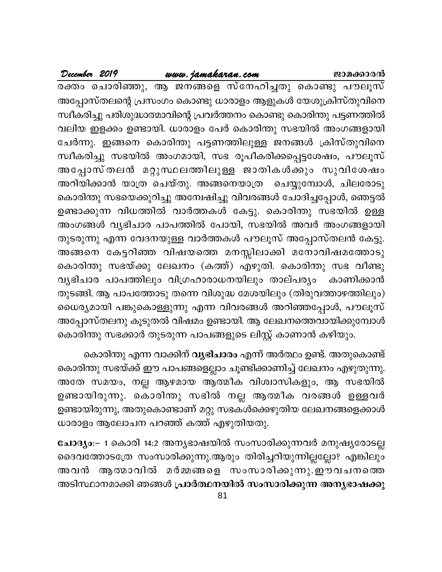#### www.jamakaran.com

December 2019

രക്തം ചൊരിഞ്ഞു, ആ ജനങ്ങളെ സ്നേഹിച്ചതു കൊണ്ടു പൗലൂസ് അപ്പോസ്തലന്റെ പ്രസംഗം കൊണ്ടു ധാരാളം ആളുകൾ യേശുക്രിസ്തുവിനെ സ്ഥീകരിച്ചു പരിശുദ്ധാത്മാവിന്റെ പ്രവർത്തനം കൊണ്ടു കൊരിന്തു പട്ടണത്തിൽ വലിയ ഇളക്കം ഉണ്ടായി. ധാരാളം പേർ കൊരിന്തു സഭയിൽ അംഗങ്ങളായി ചേർന്നു. ഇങ്ങനെ കൊരിന്തു പട്ടണത്തിലുള്ള ജനങ്ങൾ ക്രിസ്തുവിനെ സ്വീകരിച്ചു സഭയിൽ അംഗമായി, സഭ രൂപീകരിക്കപ്പെട്ടശേഷം, പൗലൂസ് അപ്പോസ്തലൻ മറ്റുസ്ഥലത്തിലുള്ള ജാതികൾക്കും സുവിശേഷം അറിയിക്കാൻ യാത്ര ചെയ്തു. അങ്ങനെയാത്ര ചെയ്യുമ്പോൾ, ചിലരോടു കൊരിന്തു സഭയെക്കുറിച്ചു അന്വേഷിച്ചു വിവരങ്ങൾ ചോദിച്ചപ്പോൾ, ഞെട്ടൽ ഉണ്ടാക്കുന്ന വിധത്തിൽ വാർത്തകൾ കേട്ടു. കൊരിന്തു സഭയിൽ ഉള്ള അംഗങ്ങൾ വ്യഭിചാര പാപത്തിൽ പോയി, സഭയിൽ അവർ അംഗങ്ങളായി തുടരുന്നു എന്ന വേദനയുള്ള വാർത്തകൾ പൗലൂസ് അപ്പോസ്തലൻ കേട്ടു. അങ്ങനെ കേട്ടറിഞ്ഞ വിഷയത്തെ മനസ്സിലാക്കി മനോവിഷമത്തോടു കൊരിന്തു സഭയ്ക്കു ലേഖനം (കത്ത്) എഴുതി. കൊരിന്തു സഭ വീണ്ടു വൃഭിചാര പാപത്തിലും വിഗ്രഹാരാധനയിലും താല്പര്യം കാണിക്കാൻ തുടങ്ങി. ആ പാപത്തോടു തന്നെ വിശുദ്ധ മേശയിലും (തിരുവത്താഴത്തിലും) ധൈര്യമായി പങ്കുകൊള്ളുന്നു എന്ന വിവരങ്ങൾ അറിഞ്ഞപ്പോൾ, പൗലൂസ് അപ്പോസ്തലനു കൂടുതൽ വിഷമം ഉണ്ടായി. ആ ലേഖനത്തെവായിക്കുമ്പോൾ കൊരിന്തു സഭക്കാർ തുടരുന്ന പാപങ്ങളുടെ ലിസ്റ്റ് കാണാൻ കഴിയും.

കൊരിന്തു എന്ന വാക്കിന് **വൃഭിചാരം** എന്ന് അർത്ഥം ഉണ്ട്. അതുകൊണ്ട് കൊരിന്തു സഭയ്ക്ക് ഈ പാപങ്ങളെല്ലാം ചൂണ്ടിക്കാണിച്ച് ലേഖനം എഴുതുന്നു. അതേ സമയം, നല്ല ആഴമായ ആത്മീക വിശ്വാസികളും, ആ സഭയിൽ ഉണ്ടായിരുന്നു. കൊരിന്തു സഭിൽ നല്ല ആത്മീക വരങ്ങൾ ഉള്ളവർ ഉണ്ടായിരുന്നു, അതുകൊണ്ടാണ് മറ്റു സഭകൾക്കെഴുതിയ ലേഖനങ്ങളെക്കാൾ ധാരാളം ആലോചന പറഞ്ഞ് കത്ത് എഴുതിയതു.

ചോദ്യം:– 1 കൊരി 14:2 അന്യഭാഷയിൽ സംസാരിക്കുന്നവർ മനുഷ്യരോടല്ല ദൈവത്തോടത്രേ സംസാരിക്കുന്നു.ആരും തിരിച്ചറിയുന്നില്ലല്ലോ? എങ്കിലും അവൻ ആത്മാവിൽ മർമ്മങ്ങളെ സംസാരിക്കുന്നു.ഈവചനത്തെ അടിസ്ഥാനമാക്കി ഞങ്ങൾ പ്രാർത്ഥനയിൽ സംസാരിക്കുന്ന അന്യഭാഷക്കു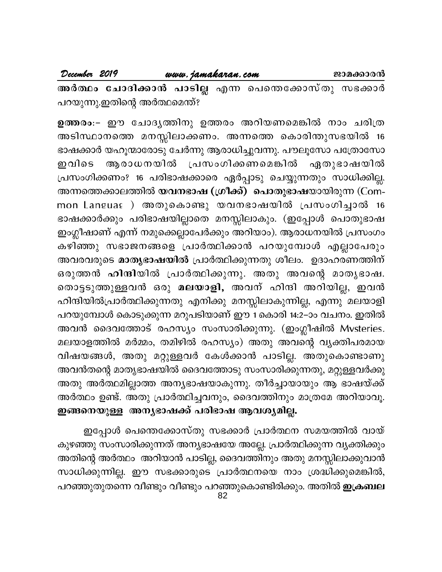| December 2019 | www.jamakaran.com |                                                      | ജാമക്കാരൻ |
|---------------|-------------------|------------------------------------------------------|-----------|
|               |                   | അർത്ഥം ചോദിക്കാൻ പാടില്ല എന്ന പെന്തെക്കോസ്തു സഭക്കാർ |           |

പറയുന്നു.ഇതിന്റെ അർത്ഥമെന്ത്?

ഉത്തരം:– ഈ ചോദൃത്തിനു ഉത്തരം അറിയണമെങ്കിൽ നാം ചരിത്ര അടിസ്ഥാനത്തെ മനസ്സിലാക്കണം. അന്നത്തെ കൊരിന്തുസഭയിൽ 16 ഭാഷക്കാർ യഹൂന്മാരോടു ചേർന്നു ആരാധിച്ചുവന്നു. പൗലൂസോ പത്രോസോ ആരാധനയിൽ പ്രസംഗിക്കണമെങ്കിൽ ഇവിടെ **ഏതുഭാഷയി**ൽ പ്രസംഗിക്കണം? 16 പരിഭാഷക്കാരെ ഏർപ്പാടു ചെയ്യുന്നതും സാധിക്കില്ല. അന്നത്തെക്കാലത്തിൽ **യവനഭാഷ (ഗ്രീക്ക്) പൊതുഭാഷ**യായിരുന്ന (Common Languaേ ) അതുകൊണ്ടു യവനഭാഷയിൽ പ്രസംഗിച്ചാൽ 16 ഭാഷക്കാർക്കും പരിഭാഷയില്ലാതെ മനസ്സിലാകും. (ഇപ്പോൾ പൊതുഭാഷ ഇംഗ്ലീഷാണ് എന്ന് നമുക്കെല്ലാപേർക്കും അറിയാം). ആരാധനയിൽ പ്രസംഗം കഴിഞ്ഞു സഭാജനങ്ങളെ പ്രാർത്ഥിക്കാൻ പറയുമ്പോൾ എല്ലാപേരും അവരവരുടെ മാതൃഭാഷയിൽ പ്രാർത്ഥിക്കുന്നതു ശീലം. ഉദാഹരണത്തിന് ഒരുത്തൻ ഹിന്ദിയിൽ പ്രാർത്ഥിക്കുന്നു. അതു അവന്റെ മാതൃഭാഷ. തൊട്ടടുത്തുള്ളവൻ ഒരു മലയാളി, അവന് ഹിന്ദി അറിയില്ല, ഇവൻ ഹിന്ദിയിൽപ്രാർത്ഥിക്കുന്നതു എനിക്കു മനസ്സിലാകുന്നില്ല, എന്നു മലയാളി പറയുമ്പോൾ കൊടുക്കുന്ന മറുപടിയാണ് ഈ 1 കൊരി 14:2–ാം വചനം. ഇതിൽ അവൻ ദൈവത്തോട് രഹസ്യം സംസാരിക്കുന്നു. (ഇംഗ്ലീഷിൽ Mvsteries*.* മലയാളത്തിൽ മർമ്മം, തമിഴിൽ രഹസ്യം) അതു അവന്റെ വ്യക്തിപരമായ വിഷയങ്ങൾ, അതു മറ്റുള്ളവർ കേൾക്കാൻ പാടില്ല. അതുകൊണ്ടാണു അവൻതന്റെ മാതൃഭാഷയിൽ ദൈവത്തോടു സംസാരിക്കുന്നതു, മറ്റുള്ളവർക്കു അതു അർത്ഥമില്ലാത്ത അന്യഭാഷയാകുന്നു. തീർച്ചായായും ആ ഭാഷയ്ക്ക് അർത്ഥം ഉണ്ട്. അതു പ്രാർത്ഥിച്ചവനും, ദൈവത്തിനും മാത്രമേ അറിയാവൂ. ഇങ്ങനെയുള്ള അനൃഭാഷക്ക് പരിഭാഷ ആവശ്യമില്ല.

ഇപ്പോൾ പെന്തെക്കോസ്തു സഭക്കാർ പ്രാർത്ഥന സമയത്തിൽ വായ് കുഴഞ്ഞു സംസാരിക്കുന്നത് അന്യഭാഷയേ അല്ലേ. പ്രാർത്ഥിക്കുന്ന വ്യക്തിക്കും അതിന്റെ അർത്ഥം അറിയാൻ പാടില്ല, ദൈവത്തിനും അതു മനസ്സിലാക്കുവാൻ സാധിക്കുന്നില്ല. ഈ സഭക്കാരുടെ പ്രാർത്ഥനയെ നാം ശ്രദ്ധിക്കുമെങ്കിൽ, പറഞ്ഞുതുതന്നെ വീണ്ടും വീണ്ടും പറഞ്ഞുകൊണ്ടിരിക്കും. അതിൽ **ഇക്രബല**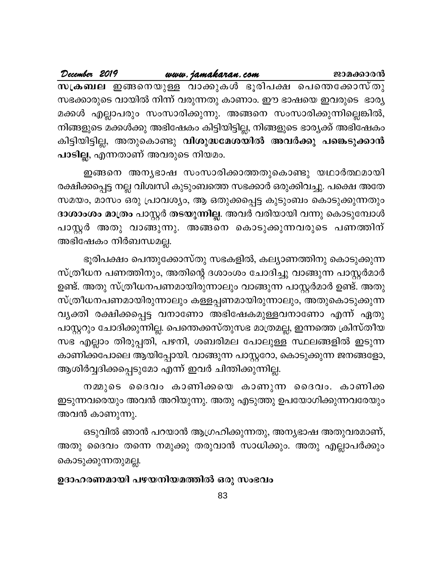| December 2019 |  | www.jamakaran.com                                                        |  | ജാമക്കാരൻ |  |
|---------------|--|--------------------------------------------------------------------------|--|-----------|--|
|               |  | സക്രബല ഇങ്ങനെയുള്ള വാക്കുകൾ ഭൂരിപക്ഷ പെന്തെക്കോസ്തു                      |  |           |  |
|               |  | സഭക്കാരുടെ വായിൽ നിന്ന് വരുന്നതു കാണാം. ഈ ഭാഷയെ ഇവരുടെ ഭാര്യ             |  |           |  |
|               |  | മക്കൾ എല്ലാപരും സംസാരിക്കുന്നു. അങ്ങനെ സംസാരിക്കുന്നില്ലെങ്കിൽ,          |  |           |  |
|               |  | നിങ്ങളുടെ മക്കൾക്കു അഭിഷേകം കിട്ടിയിട്ടില്ല, നിങ്ങളുടെ ഭാര്യക്ക് അഭിഷേകം |  |           |  |
|               |  | കിട്ടിയിട്ടില്ല, അതുകൊണ്ടു <b>വിശുദ്ധമേശയിൽ അവർക്കു പങ്കെടുക്കാൻ</b>     |  |           |  |
|               |  | പാടില്ല, എന്നതാണ് അവരുടെ നിയമം.                                          |  |           |  |

ഇങ്ങനെ അനൃഭാഷ സംസാരിക്കാത്തതുകൊണ്ടു യഥാർത്ഥമായി രക്ഷിക്കപ്പെട്ട നല്ല വിശ്വസി കുടുംബത്തെ സഭക്കാർ ഒരുക്കിവച്ചു. പക്ഷെ അതേ സമയം, മാസം ഒരു പ്രാവശ്യം, ആ ഒതുക്കപ്പെട്ട കുടുംബം കൊടുക്കുന്നതും ദാശാംശം മാത്രം പാസ്റ്റർ തടയുന്നില്ല. അവർ വരിയായി വന്നു കൊടുമ്പോൾ പാസ്റ്റർ അതു വാങ്ങുന്നു. അങ്ങനെ കൊടുക്കുന്നവരുടെ പണത്തിന് അഭിഷേകം നിർബന്ധമല്ല.

ഭൂരിപക്ഷം പെന്തുക്കോസ്തു സഭകളിൽ, കല്യാണത്തിനു കൊടുക്കുന്ന സ്ത്രീധന പണത്തിനും, അതിന്റെ ദശാംശം ചോദിച്ചു വാങ്ങുന്ന പാസ്റ്റർമാർ ഉണ്ട്. അതു സ്ത്രീധനപണമായിരുന്നാലും വാങ്ങുന്ന പാസ്റ്റർമാർ ഉണ്ട്. അതു സ്ത്രീധനപണമായിരുന്നാലും കള്ളപ്പണമായിരുന്നാലും, അതുകൊടുക്കുന്ന വ്യക്തി രക്ഷിക്കപ്പെട്ട വനാണോ അഭിഷേകമുള്ളവനാണോ എന്ന് ഏതു പാസ്റ്ററും ചോദിക്കുന്നില്ല. പെന്തെക്കസ്തുസഭ മാത്രമല്ല, ഇന്നത്തെ ക്രിസ്തീയ സഭ എല്ലാം തിരുപ്പതി, പഴനി, ശബരിമല പോലുള്ള സ്ഥലങ്ങളിൽ ഇടുന്ന കാണിക്കപോലെ ആയിപ്പോയി. വാങ്ങുന്ന പാസ്റ്ററോ, കൊടുക്കുന്ന ജനങ്ങളോ, ആശിർവ്വദിക്കപ്പെടുമോ എന്ന് ഇവർ ചിന്തിക്കുന്നില്ല.

നമ്മുടെ ദൈവം കാണിക്കയെ കാണുന്ന ദൈവം. കാണിക്ക ഇടുന്നവരെയും അവൻ അറിയുന്നു. അതു എടുത്തു ഉപയോഗിക്കുന്നവരേയും അവൻ കാണുന്നു.

ഒടുവിൽ ഞാൻ പറയാൻ ആഗ്രഹിക്കുന്നതു, അന്യഭാഷ അതുവരമാണ്, അതു ദൈവം തന്നെ നമുക്കു തരുവാൻ സാധിക്കും. അതു എല്ലാപർക്കും കൊടുക്കുന്നതുമല്ല.

#### ഉദാഹരണമായി പഴയനിയമത്തിൽ ഒരു സംഭവം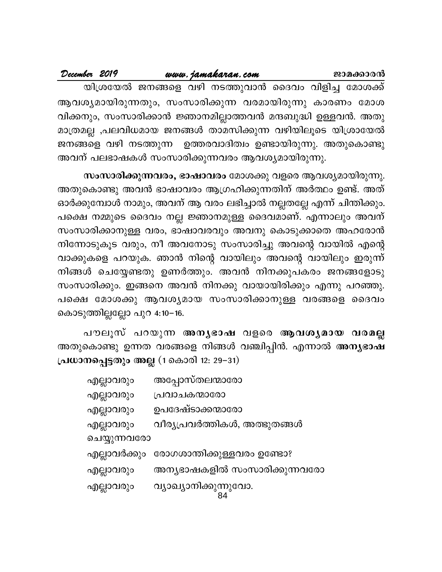| December 2019 |  |                                                               |           |
|---------------|--|---------------------------------------------------------------|-----------|
|               |  | www.jamakaran.com                                             | ജാമക്കാരൻ |
|               |  | യിശ്രയേൽ ജനങ്ങളെ വഴി നടത്തുവാൻ ദൈവം വിളിച്ച മോശക്ക്           |           |
|               |  | ആവശ്യമായിരുന്നതും, സംസാരിക്കുന്ന വരമായിരുന്നു കാരണം മോശ       |           |
|               |  | വിക്കനും, സംസാരിക്കാൻ ജ്ഞാനമില്ലാത്തവൻ മന്ദബുദ്ധി ഉള്ളവൻ. അതു |           |
|               |  | മാത്രമല്ല ,പലവിധമായ ജനങ്ങൾ താമസിക്കുന്ന വഴിയിലൂടെ യിശ്രായേൽ   |           |
|               |  | ജനങ്ങളെ വഴി നടത്തുന്ന ഉത്തരവാദിത്വം ഉണ്ടായിരുന്നു. അതുകൊണ്ടു  |           |
|               |  | അവന് പലഭാഷകൾ സംസാരിക്കുന്നവരം ആവശ്യമായിരുന്നു.                |           |

**സംസാരിക്കുന്നവരം, ഭാഷാവരം** മോശക്കു വളരെ ആവശ്യമായിരുന്നു. അതുകൊണ്ടു അവൻ ഭാഷാവരം ആഗ്രഹിക്കുന്നതിന് അർത്ഥം ഉണ്ട്. അത് ഓർക്കുമ്പോൾ നാമും, അവന് ആ വരം ലഭിച്ചാൽ നല്ലതല്ലേ എന്ന് ചിന്തിക്കും. പക്ഷെ നമ്മുടെ ദൈവം നല്ല ജ്ഞാനമുള്ള ദൈവമാണ്. എന്നാലും അവന് സംസാരിക്കാനുള്ള വരം, ഭാഷാവരവും അവനു കൊടുക്കാതെ അഹരോൻ നിന്നോടുകൂട വരും, നീ അവനോടു സംസാരിച്ചു അവന്റെ വായിൽ എന്റെ വാക്കുകളെ പറയുക. ഞാൻ നിന്റെ വായിലും അവന്റെ വായിലും ഇരുന്ന് നിങ്ങൾ ചെയ്യേണ്ടതു ഉണർത്തും. അവൻ നിനക്കുപകരം ജനങ്ങളോടു സംസാരിക്കും. ഇങ്ങനെ അവൻ നിനക്കു വായായിരിക്കും എന്നു പറഞ്ഞു. പക്ഷെ മോശക്കു ആവശ്യമായ സംസാരിക്കാനുള്ള വരങ്ങളെ ദൈവം കൊടുത്തില്ലല്ലോ പുറ 4:10–16. ം ചെക്ട്രേംഗു ഉണരത്തും. അവര് നിന്തെുവതര് കനങ്ങളോടു<br>രരിക്കും. ഇങ്ങനെ അവൻ നിനക്കു വായായിരിക്കും എന്നു പറഞ്ഞു.<br>14 മോശക്കു ആവശ്യമായ സംസാരിക്കാനുള്ള വരങ്ങളെ ദൈവം<br>ുത്തില്ലല്ലോ പുറ 4:10–16.<br>കൊണ്ടു ഉന്നത വരങ്ങളെ നിങ്ങൾ വഞ്ചിപ്പിൻ

അതുകൊണ്ടു ഉന്നത വരങ്ങളെ നിങ്ങൾ വഞ്ചിപ്പിൻ. എന്നാൽ **അന്യഭാഷ പ്രധാനപ്പെട്ടതും അല്ല (1 കൊരി 12: 29–31)** 

| എല്ലാവരും    | അപ്പോസ്തലന്മാരോ                         |
|--------------|-----------------------------------------|
| എല്ലാവരും    | പ്രവാചകന്മാരോ                           |
| എല്ലാവരും    | ഉപദേഷ്ടാക്കന്മാരോ                       |
| എല്ലാവരും    | വീര്യപ്രവർത്തികൾ, അത്ഭുതങ്ങൾ            |
| ചെയ്യുന്നവരോ |                                         |
|              | എല്ലാവർക്കും രോഗശാന്തിക്കുള്ളവരം ഉണ്ടോ? |
| എല്ലാവരും    | അന്യഭാഷകളിൽ സംസാരിക്കുന്നവരോ            |
| എല്ലാവരും    | വ്യാഖ്യാനിക്കുന്നുവോ.                   |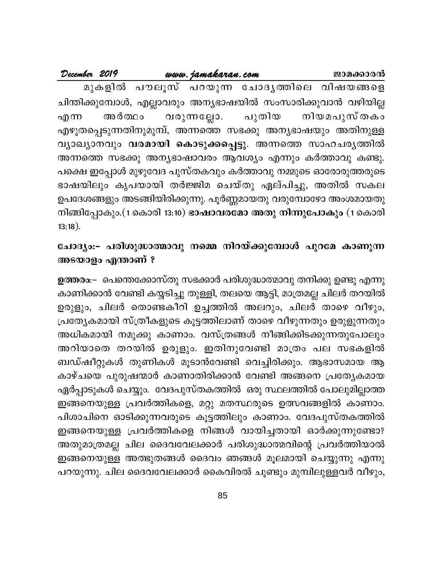|            | December 2019 | www.jamakaran.com |                                                                | ജാമക്കാരൻ |
|------------|---------------|-------------------|----------------------------------------------------------------|-----------|
|            |               |                   | മുകളിൽ പൗലൂസ് പറയുന്ന ചോദൃത്തിലെ വിഷയങ്ങളെ                     |           |
|            |               |                   | ചിന്തിക്കുമ്പോൾ, എല്ലാവരും അന്യഭാഷയിൽ സംസാരിക്കുവാൻ വഴിയില്ല   |           |
| എന്ന       |               |                   | അർത്ഥം വരുന്നല്ലോ. പുതിയ നിയമപുസ്തകം                           |           |
|            |               |                   | എഴുതപ്പെടുന്നതിനുമുമ്പ്, അന്നത്തെ സഭക്കു അന്യഭാഷയും അതിനുള്ള   |           |
|            |               |                   | വ്യാഖ്യാനവും വരമായി കൊടുക്കപ്പെട്ടു. അന്നത്തെ സാഹചര്യത്തിൽ     |           |
|            |               |                   | അന്നത്തെ സഭക്കു അന്യഭാഷാവരം ആവശ്യം എന്നും കർത്താവു കണ്ടു.      |           |
|            |               |                   | പക്ഷെ ഇപ്പോൾ മുഴുവേദ പുസ്തകവും കർത്താവു നമ്മുടെ ഓരോരുത്തരുടെ   |           |
|            |               |                   | ഭാഷയിലും കൃപയായി തർജ്ജിമ ചെയ്തു ഏല്പിച്ചു, അതിൽ സകല            |           |
|            |               |                   | ഉപദേശങ്ങളും അടങ്ങിയിരിക്കുന്നു. പൂർണ്ണമായതു വരുമ്പോഴോ അംശമായതു |           |
|            |               |                   | നിങ്ങിപ്പോകും.(1 കൊരി 13:10) ഭാഷാവരമോ അതു നിന്നുപോകും (1 കൊരി  |           |
| $13:18$ ). |               |                   |                                                                |           |

## ചോദ്യം:- പരിശുദ്ധാത്മാവു നമ്മെ നിറയ്ക്കുമ്പോൾ പുറമേ കാണുന്ന അടയാളം എന്താണ് ?

ഉത്തരം:– പെന്തെക്കോസ്തു സഭക്കാർ പരിശുദ്ധാത്മാവു തനിക്കു ഉണ്ടു എന്നു കാണിക്കാൻ വേണ്ടി കയ്യടിച്ചു തുള്ളി, തലയെ ആട്ടി, മാത്രമല്ല ചിലർ തറയിൽ ഉരുളും, ചിലർ തൊണ്ടകീറി ഉച്ചത്തിൽ അലറും, ചിലർ താഴെ വീഴും, പ്രത്യേകമായി സ്ത്രീകളുടെ കൂട്ടത്തിലാണ് താഴെ വീഴുന്നതും ഉരുളുന്നതും അധികമായി നമുക്കു കാണാം. വസ്ത്രങ്ങൾ നീങ്ങിക്കിടക്കുന്നതുപോലും അറിയാതെ തറയിൽ ഉരുളും. ഇതിനുവേണ്ടി മാത്രം പല സഭകളിൽ ബഡ്ഷീറ്റുകൾ തുണികൾ മൂടാൻവേണ്ടി വെച്ചിരിക്കും. ആഭാസമായ ആ കാഴ്ചയെ പുരുഷന്മാർ കാണാതിരിക്കാൻ വേണ്ടി അങ്ങനെ പ്രത്യേകമായ ഏർപ്പാടുകൾ ചെയ്യും. വേദപുസ്തകത്തിൽ ഒരു സ്ഥലത്തിൽ പോലുമില്ലാത്ത ഇങ്ങനെയുള്ള പ്രവർത്തികളെ, മറ്റു മതസ്ഥരുടെ ഉത്സവങ്ങളിൽ കാണാം. പിശാചിനെ ഓടിക്കുന്നവരുടെ കൂട്ടത്തിലും കാണാം. വേദപുസ്തകത്തിൽ ഇങ്ങനെയുള്ള പ്രവർത്തികളെ നിങ്ങൾ വായിച്ചതായി ഓർക്കുന്നുണ്ടോ? അതുമാത്രമല്ല ചില ദൈവവേലക്കാർ പരിശുദ്ധാത്മവിന്റെ പ്രവർത്തിയാൽ ഇങ്ങനെയുള്ള അത്ഭുതങ്ങൾ ദൈവം ഞങ്ങൾ മൂലമായി ചെയ്യുന്നു എന്നു പറയുന്നു. ചില ദൈവവേലക്കാർ കൈവിരൽ ചൂണ്ടും മുമ്പിലുള്ളവർ വീഴും,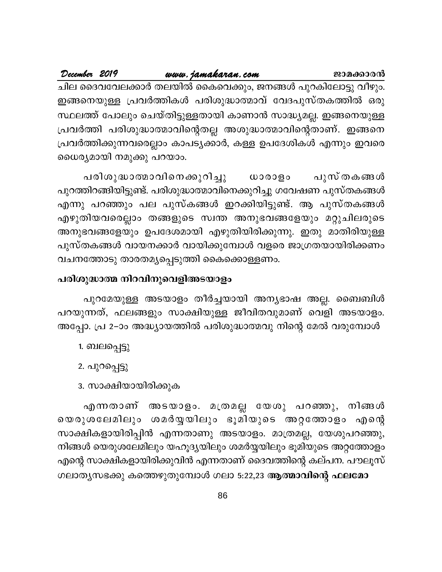December 2019 www.jamakaran.com ജാമക്കാരൻ ചില ദൈവവേലക്കാർ തലയിൽ കൈവെക്കും, ജനങ്ങൾ പുറകിലോട്ടു വീഴും. ഇങ്ങനെയുള്ള പ്രവർത്തികൾ പരിശുദ്ധാത്മാവ് വേദപുസ്തകത്തിൽ ഒരു സ്ഥലത്ത് പോലും ചെയ്തിട്ടുള്ളതായി കാണാൻ സാദ്ധ്യമല്ല. ഇങ്ങനെയുള്ള പ്രവർത്തി പരിശുദ്ധാത്മാവിന്റെതല്ല അശുദ്ധാത്മാവിന്റെതാണ്. ഇങ്ങനെ പ്രവർത്തിക്കുന്നവരെല്ലാം കാപട്യക്കാർ, കള്ള ഉപദേശികൾ എന്നും ഇവരെ ധൈര്യമായി നമുക്കു പറയാം.

പരിശുദ്ധാത്മാവിനെക്കുറിച്ചു പുസ്തകങ്ങൾ ധാരാളം പുറത്തിറങ്ങിയിട്ടുണ്ട്. പരിശുദ്ധാത്മാവിനെക്കുറിച്ചു ഗവേഷണ പുസ്തകങ്ങൾ എന്നു പറഞ്ഞും പല പുസ്കങ്ങൾ ഇറക്കിയിട്ടുണ്ട്. ആ പുസ്തകങ്ങൾ എഴുതിയവരെല്ലാം തങ്ങളുടെ സ്വന്ത അനുഭവങ്ങളേയും മറ്റുചിലരുടെ അനുഭവങ്ങളേയും ഉപദേശമായി എഴുതിയിരിക്കുന്നു. ഇതു മാതിരിയുള്ള പുസ്തകങ്ങൾ വായനക്കാർ വായിക്കുമ്പോൾ വളരെ ജാഗ്രതയായിരിക്കണം വചനത്തോടു താരതമൃപ്പെടുത്തി കൈക്കൊള്ളണം.

#### പരിശുദ്ധാത്മ നിറവിനുവെളിഅടയാളം

പുറമേയുള്ള അടയാളം തീർച്ചയായി അന്യഭാഷ അല്ല. ബൈബിൾ പറയുന്നത്, ഫലങ്ങളും സാക്ഷിയുള്ള ജീവിതവുമാണ് വെളി അടയാളം. അപ്പോ. പ്ര 2–ാം അദ്ധ്യായത്തിൽ പരിശുദ്ധാത്മവു നിന്റെ മേൽ വരുമ്പോൾ

- 1. ബലപ്പെട്ടു
- 2. പുറപ്പെട്ടു

#### 3. സാക്ഷിയായിരിക്കുക

എന്നതാണ് അടയാളം. മത്രമല്ല യേശു പറഞ്ഞു, നിങ്ങൾ യെരുശലേമിലും ശമർയ്യയിലും ഭൂമിയുടെ അറ്റത്തോളം എന്റെ സാക്ഷികളായിരിപ്പിൻ എന്നതാണു അടയാളം. മാത്രമല്ല, യേശുപറഞ്ഞു, നിങ്ങൾ യെരുശലേമിലും യഹൂദ്യയിലും ശമർയ്യയിലും ഭൂമിയുടെ അറ്റത്തോളം എന്റെ സാക്ഷികളായിരിക്കുവിൻ എന്നതാണ് ദൈവത്തിന്റെ കല്പന. പൗലൂസ് ഗലാതൃസഭക്കു കത്തെഴുതുമ്പോൾ ഗലാ 5:22,23 ആത്മാവിന്റെ ഫലമോ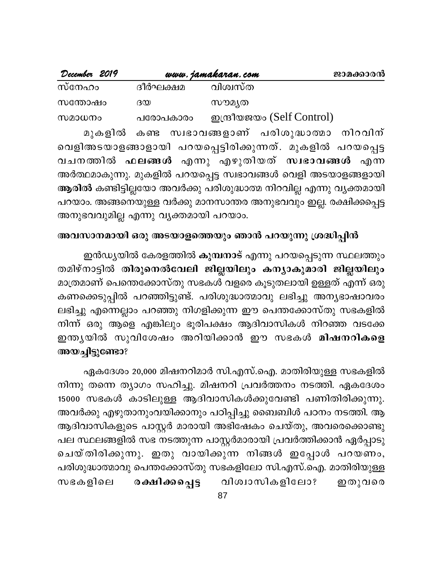| December 2019 |          | www.jamakaran.com          | ജാമക്കാരൻ |
|---------------|----------|----------------------------|-----------|
| സ്നേഹം        | ദീർഘക്ഷമ | വിശ്വസ്ത                   |           |
| സന്തോഷം       | ദയ       | സൗമൃത                      |           |
| സമാധനം        | പരോപകാരം | ഇന്ദ്രീയജയം (Self Control) |           |
|               |          |                            |           |

മുകളിൽ കണ്ട സ്വഭാവങ്ങളാണ് പരിശുദ്ധാത്മാ നിറവിന് വെളിഅടയാളങ്ങാളായി പറയപ്പെട്ടിരിക്കുന്നത്. മുകളിൽ പറയപ്പെട്ട വചനത്തിൽ ഫലങ്ങൾ എന്നു എഴുതിയത് സ്വഭാവങ്ങൾ എന്ന അർത്ഥമാകുന്നു. മുകളിൽ പറയപ്പെട്ട സ്വഭാവങ്ങൾ വെളി അടയാളങ്ങളായി ആരിൽ കണ്ടിട്ടില്ലയോ അവർക്കു പരിശുദ്ധാത്മ നിറവില്ല എന്നു വ്യക്തമായി പറയാം. അങ്ങനെയുള്ള വർക്കു മാനസാന്തര അനുഭവവും ഇല്ല. രക്ഷിക്കപ്പെട്ട അനുഭവവുമില്ല എന്നു വ്യക്തമായി പറയാം.

### അവസാനമായി ഒരു അടയാളത്തെയും ഞാൻ പറയുന്നു ശ്രദ്ധിപ്പിൻ

ഇൻഡ്യയിൽ കേരളത്തിൽ കുമ്പനാട് എന്നു പറയപ്പെടുന്ന സ്ഥലത്തും തമിഴ്നാട്ടിൽ തിരുനെൽവേലി ജില്ലയിലും കന്യാകുമാരി ജില്ലയിലും മാത്രമാണ് പെന്തെക്കോസ്തു സഭകൾ വളരെ കൂടുതലായി ഉള്ളത് എന്ന് ഒരു കണക്കെടുപ്പിൽ പറഞ്ഞിട്ടുണ്ട്. പരിശുദ്ധാത്മാവു ലഭിച്ചു അന്യഭാഷാവരം ലഭിച്ചു എന്നെല്ലാം പറഞ്ഞു നിഗളിക്കുന്ന ഈ പെന്തക്കോസ്തു സഭകളിൽ നിന്ന് ഒരു ആളെ എങ്കിലും ഭൂരിപക്ഷം ആദിവാസികൾ നിറഞ്ഞ വടക്കേ ഇന്തൃയിൽ സുവിശേഷം അറിയിക്കാൻ ഈ സഭകൾ മിഷനറികളെ അയച്ചിട്ടുണ്ടോ?

ഏകദേശം 20,000 മിഷനറിമാർ സി.എസ്.ഐ. മാതിരിയുള്ള സഭകളിൽ നിന്നു തന്നെ ത്യാഗം സഹിച്ചു. മിഷനറി പ്രവർത്തനം നടത്തി. ഏകദേശം 15000 സഭകൾ കാടിലുള്ള ആദിവാസികൾക്കുവേണ്ടി പണിതിരിക്കുന്നു. അവർക്കു എഴുതാനുംവയിക്കാനും പഠിപ്പിച്ചു ബൈബിൾ പഠനം നടത്തി. ആ ആദിവാസികളുടെ പാസ്റ്റർ മാരായി അഭിഷേകം ചെയ്തു, അവരെക്കൊണ്ടു പല സ്ഥലങ്ങളിൽ സഭ നടത്തുന്ന പാസ്റ്റർമാരായി പ്രവർത്തിക്കാൻ ഏർപ്പാടു ചെയ്തിരിക്കുന്നു. ഇതു വായിക്കുന്ന നിങ്ങൾ ഇപ്പോൾ പറയണം, പരിശുദ്ധാത്മാവു പെന്തക്കോസ്തു സഭകളിലോ സി.എസ്.ഐ. മാതിരിയുള്ള വിശ്വാസികളിലോ? ഇതുവരെ സഭകളിലെ രക്ഷിക്കപ്പെട്ട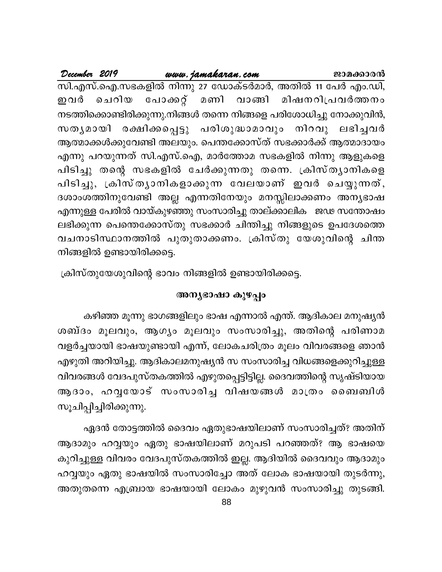#### <u>www.jamakaran.com</u> December 2019 ജാമക്കാരൻ സി.എസ്.ഐ.സഭകളിൽ നിന്നു 27 ഡോക്ടർമാർ, അതിൽ 11 പേർ എം.ഡി, ചെറിയ പോക്കറ്റ് മണി വാങ്ങി മിഷനറിപ്രവർത്തനം ഇവർ നടത്തിക്കൊണ്ടിരിക്കുന്നു.നിങ്ങൾ തന്നെ നിങ്ങളെ പരിശോധിച്ചു നോക്കുവിൻ, സതൃമായി രക്ഷിക്കപ്പെട്ടു പരിശുദ്ധാമാവും നിറവു ലഭിച്ചിർ ആത്മാക്കൾക്കുവേണ്ടി അലയും. പെന്തക്കോസ്ത് സഭക്കാർക്ക് ആത്മാദായം എന്നു പറയുന്നത് സി.എസ്.ഐ, മാർത്തോമ സഭകളിൽ നിന്നു ആളുകളെ പിടിച്ചു തന്റെ സഭകളിൽ ചേർക്കുന്നതു തന്നെ. ക്രിസ്തൃാനികളെ പിടിച്ചു, ക്രിസ്തൃാനികളാക്കുന്ന വേലയാണ് ഇവർ ചെയ്യുന്നത്, ദശാംശത്തിനുവേണ്ടി അല്ല എന്നതിനേയും മനസ്സിലാക്കണം അന്യഭാഷ എന്നുള്ള പേരിൽ വായ്കുഴഞ്ഞു സംസാരിച്ചു താല്ക്കാലിക ജഢ സന്തോഷം ലഭിക്കുന്ന പെന്തെക്കോസ്തു സഭക്കാർ ചിന്തിച്ചു നിങ്ങളുടെ ഉപദേശത്തെ വചനാടിസ്ഥാനത്തിൽ പുതുതാക്കണം. ക്രിസ്തു യേശുവിന്റെ ചിന്ത നിങ്ങളിൽ ഉണ്ടായിരിക്കട്ടെ.

ക്രിസ്തുയേശുവിന്റെ ഭാവം നിങ്ങളിൽ ഉണ്ടായിരിക്കട്ടെ.

#### അനൃഭാഷാ കുഴപ്പം

കഴിഞ്ഞ മൂന്നു ഭാഗങ്ങളിലും ഭാഷ എന്നാൽ എന്ത്. ആദികാല മനുഷ്യൻ ശബ്ദം മൂലവും, ആഗ്യം മൂലവും സംസാരിച്ചു, അതിന്റെ പരിണാമ വളർച്ചയായി ഭാഷയുണ്ടായി എന്ന്, ലോകചരിത്രം മൂലം വിവരങ്ങളെ ഞാൻ എഴുതി അറിയിച്ചു. ആദികാലമനുഷ്യൻ സ സംസാരിച്ച വിധങ്ങളെക്കുറിച്ചുള്ള വിവരങ്ങൾ വേദപുസ്തകത്തിൽ എഴുതപ്പെട്ടിട്ടില്ല. ദൈവത്തിന്റെ സൃഷ്ടിയായ ആദാം, ഹവ്വയോട് സംസാരിച്ച വിഷയങ്ങൾ മാത്രം ബൈബിൾ സൂചിപ്പിച്ചിരിക്കുന്നു.

ഏദൻ തോട്ടത്തിൽ ദൈവം ഏതുഭാഷയിലാണ് സംസാരിച്ചത്? അതിന് ആദാമും ഹവ്വയും ഏതു ഭാഷയിലാണ് മറുപടി പറഞ്ഞത്? ആ ഭാഷയെ കുറിച്ചുള്ള വിവരം വേദപുസ്തകത്തിൽ ഇല്ല. ആദിയിൽ ദൈവവും ആദാമും ഹവ്വയും ഏതു ഭാഷയിൽ സംസാരിച്ചോ അത് ലോക ഭാഷയായി തുടർന്നു, അതുതന്നെ എബ്രായ ഭാഷയായി ലോകം മുഴുവൻ സംസാരിച്ചു തുടങ്ങി.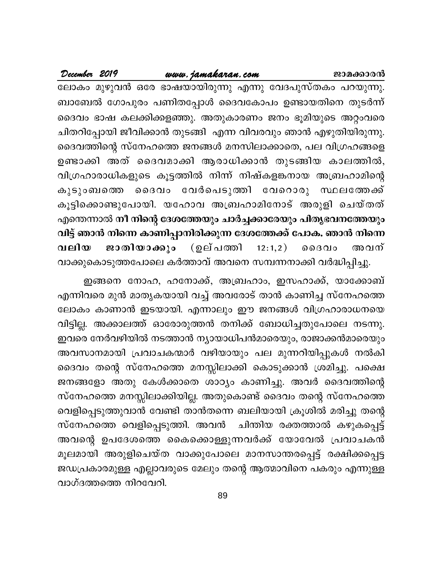#### www.jamakaran.com

December 2019

ലോകം മുഴുവൻ ഒരേ ഭാഷയായിരുന്നു എന്നു വേദപുസ്തകം പറയുന്നു. ബാബേൽ ഗോപുരം പണിതപ്പോൾ ദൈവകോപം ഉണ്ടായതിനെ തുടർന്ന് ദൈവം ഭാഷ കലക്കിക്കളഞ്ഞു. അതുകാരണം ജനം ഭൂമിയുടെ അറ്റംവരെ ചിതറിപ്പോയി ജീവിക്കാൻ തുടങ്ങി എന്ന വിവരവും ഞാൻ എഴുതിയിരുന്നു. ദൈവത്തിന്റെ സ്നേഹത്തെ ജനങ്ങൾ മനസിലാക്കാതെ, പല വിഗ്രഹങ്ങളെ ഉണ്ടാക്കി അത് ദൈവമാക്കി ആരാധിക്കാൻ തുടങ്ങിയ കാലത്തിൽ, വിഗ്രഹാരാധികളുടെ കൂട്ടത്തിൽ നിന്ന് നിഷ്കളങ്കനായ അബ്രഹാമിന്റെ കുടുംബത്തെ ദൈവം വേർപെടുത്തി വേറൊരു സ്ഥലത്തേക്ക് കൂട്ടിക്കൊണ്ടുപോയി. യഹോവ അബ്രഹാമിനോട് അരുളി ചെയ്തത് എന്തെന്നാൽ നീ നിന്റെ ദേശത്തേയും ചാർച്ചക്കാരേയും പിതൃഭവനത്തേയും വിട്ട് ഞാൻ നിന്നെ കാണിപ്പാനിരിക്കുന്ന ദേശത്തേക്ക് പോക. ഞാൻ നിന്നെ ജാതിയാക്കും (ഉല്പത്തി  $12:1,2)$ വലിയ  $00000$ അവന് വാക്കുകൊടുത്തപോലെ കർത്താവ് അവനെ സമ്പന്നനാക്കി വർദ്ധിപ്പിച്ചു.

ഇങ്ങനെ നോഹ, ഹനോക്ക്, അബ്രഹാം, ഇസഹാക്ക്, യാക്കോബ് എന്നിവരെ മുൻ മാതൃകയായി വച്ച് അവരോട് താൻ കാണിച്ച സ്നേഹത്തെ ലോകം കാണാൻ ഇടയായി. എന്നാലും ഈ ജനങ്ങൾ വിഗ്രഹാരാധനയെ വിട്ടില്ല. അക്കാലത്ത് ഓരോരുത്തൻ തനിക്ക് ബോധിച്ചതുപോലെ നടന്നു. ഇവരെ നേർവഴിയിൽ നടത്താൻ ന്യായാധിപൻമാരെയും, രാജാക്കൻമാരെയും അവസാനമായി പ്രവാചകന്മാർ വഴിയായും പല മുന്നറിയിപ്പുകൾ നൽകി ദൈവം തന്റെ സ്നേഹത്തെ മനസ്സിലാക്കി കൊടുക്കാൻ ശ്രമിച്ചു. പക്ഷെ ജനങ്ങളോ അതു കേൾക്കാതെ ശാഠ്യം കാണിച്ചു. അവർ ദൈവത്തിന്റെ സ്നേഹത്തെ മനസ്സിലാക്കിയില്ല. അതുകൊണ്ട് ദൈവം തന്റെ സ്നേഹത്തെ വെളിപ്പെടുത്തുവാൻ വേണ്ടി താൻതന്നെ ബലിയായി ക്രൂശിൽ മരിച്ചു തന്റെ സ്നേഹത്തെ വെളിപ്പെടുത്തി. അവൻ ചിന്തിയ രക്തത്താൽ കഴുകപ്പെട്ട് അവന്റെ ഉപദേശത്തെ കൈക്കൊള്ളുന്നവർക്ക് യോവേൽ പ്രവാചകൻ മൂലമായി അരുളിചെയ്ത വാക്കുപോലെ മാനസാന്തരപ്പെട്ട് രക്ഷിക്കപ്പെട്ട ജഡപ്രകാരമുള്ള എല്ലാവരുടെ മേലും തന്റെ ആത്മാവിനെ പകരും എന്നുള്ള വാഗ്ദത്തത്തെ നിറവേറി.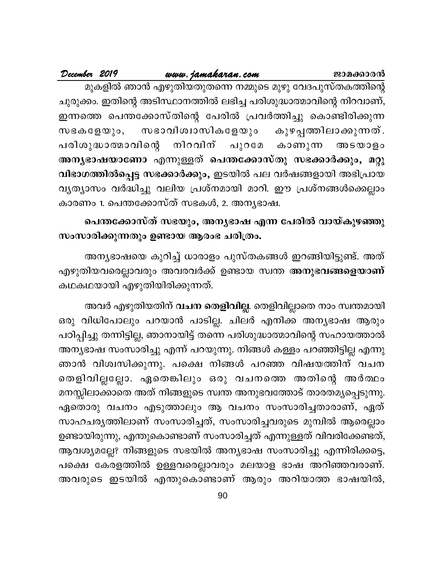#### December 2019 www.jamakaran.com ജാമക്കാരൻ മുകളിൽ ഞാൻ എഴുതിയതുതന്നെ നമ്മുടെ മുഴു വേദപുസ്തകത്തിന്റെ ചുരുക്കം. ഇതിന്റെ അടിസ്ഥാനത്തിൽ ലഭിച്ച പരിശുദ്ധാത്മാവിന്റെ നിറവാണ്, ഇന്നത്തെ പെന്തക്കോസ്തിന്റെ പേരിൽ പ്രവർത്തിച്ചു കൊണ്ടിരിക്കുന്ന സഭാവിശ്വാസികളേയും കുഴപ്പത്തിലാക്കുന്നത്.  $\omega$  g  $\omega$  g  $\omega$   $\omega$   $\circ$   $\circ$ പരിശുദ്ധാത്മാവിന്റെ നിറവിന് പുറമേ കാണുന്ന അടയാളം അനൃഭാഷയാണോ എന്നുള്ളത് പെന്തക്കോസ്തു സഭക്കാർക്കും, മറ്റു വിഭാഗത്തിൽപ്പെട്ട സഭക്കാർക്കും, ഇടയിൽ പല വർഷങ്ങളായി അഭിപ്രായ വൃത്യാസം വർദ്ധിച്ചു വലിയ പ്രശ്നമായി മാറി. ഈ പ്രശ്നങ്ങൾക്കെല്ലാം കാരണം 1. പെന്തക്കോസ്ത് സഭകൾ, 2. അനൃഭാഷ.

# പെന്തക്കോസ്ത് സഭയും, അന്യഭാഷ എന്ന പേരിൽ വായ്കുഴഞ്ഞു സംസാരിക്കുന്നതും ഉണ്ടായ ആരംഭ ചരിത്രം.

അന്യഭാഷയെ കുറിച്ച് ധാരാളം പുസ്തകങ്ങൾ ഇറങ്ങിയിട്ടുണ്ട്. അത് എഴുതിയവരെല്ലാവരും അവരവർക്ക് ഉണ്ടായ സ്വന്ത <mark>അനുഭവങ്ങളെയാണ്</mark> കഥകഥയായി എഴുതിയിരിക്കുന്നത്.

അവർ എഴുതിയതിന് **വചന തെളിവില്ല**. തെളിവില്ലാതെ നാം സ്വന്തമായി ഒരു വിധിപോലും പറയാൻ പാടില്ല. ചിലർ എനിക്ക അനൃഭാഷ ആരും പഠിപ്പിച്ചു തന്നിട്ടില്ല, ഞാനായിട്ട് തന്നെ പരിശുദ്ധാത്മാവിന്റെ സഹായത്താൽ അന്യഭാഷ സംസാരിച്ചു എന്ന് പറയുന്നു. നിങ്ങൾ കള്ളം പറഞ്ഞിട്ടില്ല എന്നു ഞാൻ വിശ്വസിക്കുന്നു. പക്ഷെ നിങ്ങൾ പറഞ്ഞ വിഷയത്തിന് വചന തെളിവില്ലല്ലോ. ഏതെങ്കിലും ഒരു വചനത്തെ അതിന്റെ അർത്ഥം മനസ്സിലാക്കാതെ അത് നിങ്ങളുടെ സ്വന്ത അനുഭവത്തോട് താരതമൃപ്പെടുന്നു. ഏതൊരു വചനം എടുത്താലും ആ വചനം സംസാരിച്ചതാരാണ്, ഏത് സാഹചര്യത്തിലാണ് സംസാരിച്ചത്, സംസാരിച്ചവരുടെ മുമ്പിൽ ആരെല്ലാം ഉണ്ടായിരുന്നു, എന്തുകൊണ്ടാണ് സംസാരിച്ചത് എന്നുള്ളത് വിവരിക്കേണ്ടത്, ആവശ്യമല്ലേ? നിങ്ങളുടെ സഭയിൽ അന്യഭാഷ സംസാരിച്ചു എന്നിരിക്കട്ടെ, പക്ഷെ കേരളത്തിൽ ഉള്ളവരെല്ലാവരും മലയാള ഭാഷ അറിഞ്ഞവരാണ്. അവരുടെ ഇടയിൽ എന്തുകൊണ്ടാണ് ആരും അറിയാത്ത ഭാഷയിൽ,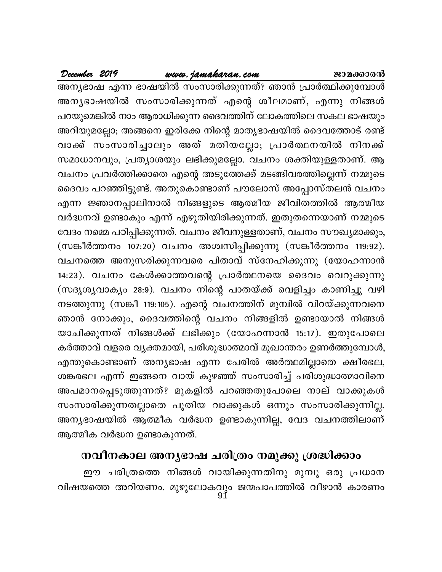# www.jamakaran.com

December 2019

അന്യഭാഷ എന്ന ഭാഷയിൽ സംസാരിക്കുന്നത്? ഞാൻ പ്രാർത്ഥിക്കുമ്പോൾ അന്യഭാഷയിൽ സംസാരിക്കുന്നത് എന്റെ ശീലമാണ്, എന്നു നിങ്ങൾ പറയുമെങ്കിൽ നാം ആരാധിക്കുന്ന ദൈവത്തിന് ലോകത്തിലെ സകല ഭാഷയും അറിയുമല്ലോ; അങ്ങനെ ഇരിക്കേ നിന്റെ മാതൃഭാഷയിൽ ദൈവത്തോട് രണ്ട് വാക്ക് സംസാരിച്ചാലും അത് മതിയല്ലോ; പ്രാർത്ഥനയിൽ നിനക്ക് സമാധാനവും, പ്രത്യാശയും ലഭിക്കുമല്ലോ. വചനം ശക്തിയുള്ളതാണ്. ആ വചനം പ്രവർത്തിക്കാതെ എന്റെ അടുത്തേക്ക് മടങ്ങിവരത്തില്ലെന്ന് നമ്മുടെ ദൈവം പറഞ്ഞിട്ടുണ്ട്. അതുകൊണ്ടാണ് പൗലോസ് അപ്പോസ്തലൻ വചനം എന്ന ജ്ഞാനപ്പാലിനാൽ നിങ്ങളുടെ ആത്മീയ ജീവിതത്തിൽ ആത്മീയ വർദ്ധനവ് ഉണ്ടാകും എന്ന് എഴുതിയിരിക്കുന്നത്. ഇതുതന്നെയാണ് നമ്മുടെ വേദം നമ്മെ പഠിപ്പിക്കുന്നത്. വചനം ജീവനുള്ളതാണ്, വചനം സൗഖ്യമാക്കും, (സങ്കീർത്തനം 107:20) വചനം അശ്വസിപ്പിക്കുന്നു (സങ്കീർത്തനം 119:92). വചനത്തെ അനുസരിക്കുന്നവരെ പിതാവ് സ്നേഹിക്കുന്നു (യോഹന്നാൻ 14:23). വചനം കേൾക്കാത്തവന്റെ പ്രാർത്ഥനയെ ദൈവം വെറുക്കുന്നു (സദൃശൃവാക്യം 28:9). വചനം നിന്റെ പാതയ്ക്ക് വെളിച്ചം കാണിച്ചു വഴി നടത്തുന്നു (സങ്കീ 119:105). എന്റെ വചനത്തിന് മുമ്പിൽ വിറയ്ക്കുന്നവനെ ഞാൻ നോക്കും, ദൈവത്തിന്റെ വചനം നിങ്ങളിൽ ഉണ്ടായാൽ നിങ്ങൾ യാചിക്കുന്നത് നിങ്ങൾക്ക് ലഭിക്കും (യോഹന്നാൻ 15:17). ഇതുപോലെ കർത്താവ് വളരെ വൃക്തമായി, പരിശുദ്ധാത്മാവ് മുഖാന്തരം ഉണർത്തുമ്പോൾ, എന്തുകൊണ്ടാണ് അന്യഭാഷ എന്ന പേരിൽ അർത്ഥമില്ലാതെ ക്ഷീരഭല, ശങ്കരഭല എന്ന് ഇങ്ങനെ വായ് കുഴഞ്ഞ് സംസാരിച്ച് പരിശുദ്ധാത്മാവിനെ അപമാനപ്പെടുത്തുന്നത്? മുകളിൽ പറഞ്ഞതുപോലെ നാല് വാക്കുകൾ സംസാരിക്കുന്നതല്ലാതെ പുതിയ വാക്കുകൾ ഒന്നും സംസാരിക്കുന്നില്ല. അന്യഭാഷയിൽ ആത്മീക വർദ്ധന ഉണ്ടാകുന്നില്ല, വേദ വചനത്തിലാണ് ആത്മീക വർദ്ധന ഉണ്ടാകുന്നത്.

# നവീനകാല അനൃഭാഷ ചരിത്രം നമുക്കു ശ്രദ്ധിക്കാം

ഈ ചരിത്രത്തെ നിങ്ങൾ വായിക്കുന്നതിനു മുമ്പു ഒരു പ്രധാന വിഷയത്തെ അറിയണം. മുഴുലോകവും ജന്മപാപത്തിൽ വീഴാൻ കാരണം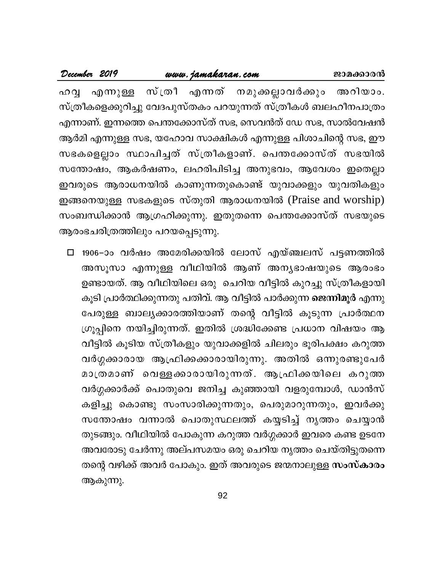| December 2019                    | www.jamakaran.com |                                                               | ജാമക്കാരൻ |
|----------------------------------|-------------------|---------------------------------------------------------------|-----------|
|                                  |                   | ഹവ്വ എന്നുള്ള സ്ത്രീ എന്നത് നമുക്കല്ലാവർക്കും അറിയാം.         |           |
|                                  |                   | സ്ത്രീകളെക്കുറിച്ചു വേദപുസ്തകം പറയുന്നത് സ്ത്രീകൾ ബലഹീനപാത്രം |           |
|                                  |                   | എന്നാണ്. ഇന്നത്തെ പെന്തക്കോസ്ത് സഭ, സെവൻത് ഡേ സഭ, സാൽവേഷൻ     |           |
|                                  |                   | ആർമി എന്നുള്ള സഭ, യഹോവ സാക്ഷികൾ എന്നുള്ള പിശാചിന്റെ സഭ, ഈ     |           |
|                                  |                   | സഭകളെല്ലാം സ്ഥാപിച്ചത് സ്ത്രീകളാണ്. പെന്തക്കോസ്ത് സഭയിൽ       |           |
|                                  |                   | സന്തോഷം, ആകർഷണം, ലഹരിപിടിച്ച അനുഭവം, ആവേശം ഇതെല്ലാ            |           |
|                                  |                   | ഇവരുടെ ആരാധനയിൽ കാണുന്നതുകൊണ്ട് യുവാക്കളും യുവതികളും          |           |
|                                  |                   | ഇങ്ങനെയുള്ള സഭകളുടെ സ്തുതി ആരാധനയിൽ (Praise and worship)      |           |
|                                  |                   | സംബന്ധിക്കാൻ ആഗ്രഹിക്കുന്നു. ഇതുതന്നെ പെന്തക്കോസ്ത് സഭയുടെ    |           |
| ആരംഭചരിത്രത്തിലും പറയപ്പെടുന്നു. |                   |                                                               |           |

عاديات

□ 1906-ാം വർഷം അമേരിക്കയിൽ ലോസ് എയ്ഞ്ചലസ് പട്ടണത്തിൽ അസൂസാ എന്നുള്ള വീഥിയിൽ ആണ് അന്യഭാഷയുടെ ആരംഭം ഉണ്ടായത്. ആ വീഥിയിലെ ഒരു ചെറിയ വീട്ടിൽ കുറച്ചു സ്ത്രീകളായി കൂടി പ്രാർത്ഥിക്കുന്നതു പതിവ്. ആ വീട്ടിൽ പാർക്കുന്ന ജെന്നിമൂർ എന്നു പേരുള്ള ബാല്യക്കാരത്തിയാണ് തന്റെ വീട്ടിൽ കൂടുന്ന പ്രാർത്ഥന ഗ്രൂപ്പിനെ നയിച്ചിരുന്നത്. ഇതിൽ ശ്രദ്ധിക്കേണ്ട പ്രധാന വിഷയം ആ വീട്ടിൽ കൂടിയ സ്ത്രീകളും യുവാക്കളിൽ ചിലരും ഭൂരിപക്ഷം കറുത്ത വർഗ്ഗക്കാരായ ആഫ്രിക്കക്കാരായിരുന്നു. അതിൽ ഒന്നുരണ്ടുപേർ മാത്രമാണ് വെള്ളക്കാരായിരുന്നത്. ആഫ്രിക്കയിലെ കറുത്ത വർഗ്ഗക്കാർക്ക് പൊതുവെ ജനിച്ച കുഞ്ഞായി വളരുമ്പോൾ, ഡാൻസ് കളിച്ചു കൊണ്ടു സംസാരിക്കുന്നതും, പെരുമാറുന്നതും, ഇവർക്കു സന്തോഷം വന്നാൽ പൊതുസ്ഥലത്ത് കയ്യടിച്ച് നൃത്തം ചെയ്യാൻ തുടങ്ങും. വീഥിയിൽ പോകുന്ന കറുത്ത വർഗ്ഗക്കാർ ഇവരെ കണ്ട ഉടനേ അവരോടു ചേർന്നു അല്പസമയം ഒരു ചെറിയ നൃത്തം ചെയ്തിട്ടുതന്നെ തന്റെ വഴിക്ക് അവർ പോകും. ഇത് അവരുടെ ജന്മനാലുള്ള സംസ്കാരം ആകുന്നു.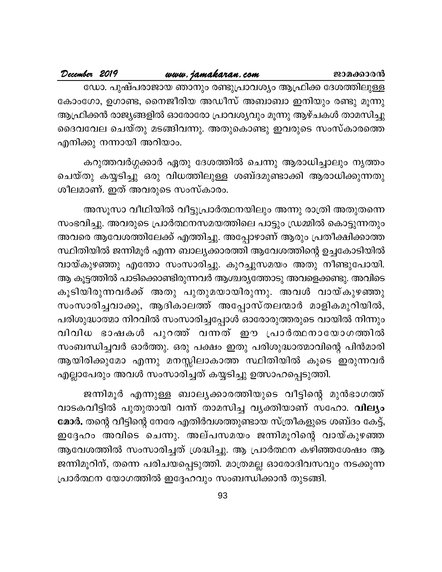| December 2019 |  | www.jamakaran.com                                               |  | ജാമക്കാരൻ |
|---------------|--|-----------------------------------------------------------------|--|-----------|
|               |  | ഡോ. പുഷ്പരാജായ ഞാനും രണ്ടുപ്രാവശ്യം ആഫ്രിക്ക ദേശത്തിലുള്ള       |  |           |
|               |  | കോംഗോ, ഉഗാണ്ട, നൈജീരിയ അഡീസ് അബാബാ ഇനിയും രണ്ടു മൂന്നു          |  |           |
|               |  | ആഫ്രിക്കൻ രാജ്യങ്ങളിൽ ഓരോരോ പ്രാവശ്യവും മൂന്നു ആഴ്ചകൾ താമസിച്ചു |  |           |
|               |  | ദൈവവേല ചെയ്തു മടങ്ങിവന്നു. അതുകൊണ്ടു ഇവരുടെ സംസ്കാരത്തെ         |  |           |

എനിക്കു നന്നായി അറിയാം.

متعامل

കറുത്തവർഗ്ഗക്കാർ ഏതു ദേശത്തിൽ ചെന്നു ആരാധിച്ചാലും നൃത്തം ചെയ്തു കയ്യടിച്ചു ഒരു വിധത്തിലുള്ള ശബ്ദമുണ്ടാക്കി ആരാധിക്കുന്നതു ശീലമാണ്. ഇത് അവരുടെ സംസ്കാരം.

അസൂസാ വീഥിയിൽ വീട്ടുപ്രാർത്ഥനയിലും അന്നു രാത്രി അതുതന്നെ സംഭവിച്ചു. അവരുടെ പ്രാർത്ഥനസമയത്തിലെ പാട്ടും ഡ്രമ്മിൽ കൊട്ടുന്നതും അവരെ ആവേശത്തിലേക്ക് എത്തിച്ചു. അപ്പോഴാണ് ആരും പ്രതീക്ഷിക്കാത്ത സ്ഥിതിയിൽ ജന്നിമൂർ എന്ന ബാല്യക്കാരത്തി ആവേശത്തിന്റെ ഉച്ചകോടിയിൽ വായ്കുഴഞ്ഞു എന്തോ സംസാരിച്ചു. കുറച്ചുസമയം അതു നീണ്ടുപോയി. ആ കൂട്ടത്തിൽ പാടിക്കൊണ്ടിരുന്നവർ ആശ്ചര്യത്തോടു അവളെക്കണ്ടു. അവിടെ കൂടിയിരുന്നവർക്ക് അതു പുതുമയായിരുന്നു. അവൾ വായ്കുഴഞ്ഞു സംസാരിച്ചവാക്കു, ആദികാലത്ത് അപ്പോസ്തലന്മാർ മാളികമുറിയിൽ, പരിശുദ്ധാത്മാ നിറവിൽ സംസാരിച്ചപ്പോൾ ഓരോരുത്തരുടെ വായിൽ നിന്നും വിവിധ ഭാഷകൾ പുറത്ത് വന്നത് ഈ പ്രാർത്ഥനായോഗത്തിൽ സംബന്ധിച്ചവർ ഓർത്തു. ഒരു പക്ഷം ഇതു പരിശുദ്ധാത്മാവിന്റെ പിൻമാരി ആയിരിക്കുമോ എന്നു മനസ്സിലാകാത്ത സ്ഥിതിയിൽ കൂടെ ഇരുന്നവർ എല്ലാപേരും അവൾ സംസാരിച്ചത് കയ്യടിച്ചു ഉത്സാഹപ്പെടുത്തി.

ജന്നിമൂർ എന്നുള്ള ബാല്യക്കാരത്തിയുടെ വീട്ടിന്റെ മുൻഭാഗത്ത് വാടകവീട്ടിൽ പുതുതായി വന്ന് താമസിച്ച വ്യക്തിയാണ് സഹോ. വില്യം മോർ. തന്റെ വീട്ടിന്റെ നേരേ എതിർവശത്തുണ്ടായ സ്ത്രീകളുടെ ശബ്ദം കേട്ട്, ഇദ്ദേഹം അവിടെ ചെന്നു. അല്പസമയം ജന്നിമൂറിന്റെ വായ്കുഴഞ്ഞ ആവേശത്തിൽ സംസാരിച്ചത് ശ്രദ്ധിച്ചു. ആ പ്രാർത്ഥന കഴിഞ്ഞശേഷം ആ ജന്നിമൂറിന്, തന്നെ പരിചയപ്പെടുത്തി. മാത്രമല്ല ഓരോദിവസവും നടക്കുന്ന പ്രാർത്ഥന യോഗത്തിൽ ഇദ്ദേഹവും സംബന്ധിക്കാൻ തുടങ്ങി.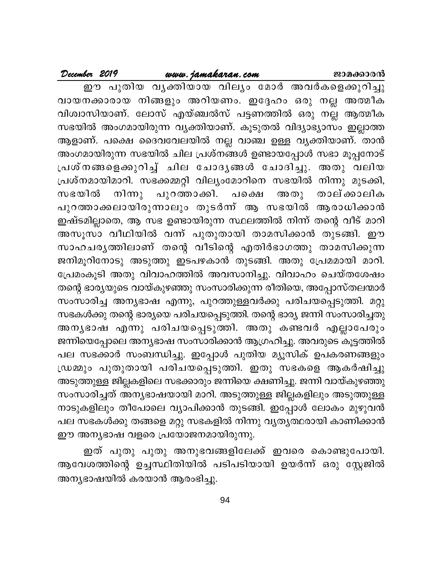#### www.jamakaran.com

December 2019

ഈ പുതിയ വൃക്തിയായ വില്യം മോർ അവർകളെക്കുറിച്ചു വായനക്കാരായ നിങ്ങളും അറിയണം. ഇദ്ദേഹം ഒരു നല്ല അത്മീക വിശ്വാസിയാണ്. ലോസ് എയ്ഞ്ചൽസ് പട്ടണത്തിൽ ഒരു നല്ല ആത്മീക സഭയിൽ അംഗമായിരുന്ന വ്യക്തിയാണ്. കൂടുതൽ വിദ്യാഭ്യാസം ഇല്ലാത്ത ആളാണ്. പക്ഷെ ദൈവവേലയിൽ നല്ല വാഞ്ച ഉള്ള വ്യക്തിയാണ്. താൻ അംഗമായിരുന്ന സഭയിൽ ചില പ്രശ്നങ്ങൾ ഉണ്ടായപ്പോൾ സഭാ മൂപ്പനോട് പ്രശ്നങ്ങളെക്കുറിച്ച് ചില ചോദൃങ്ങൾ ചോദിച്ചു. അതു വലിയ പ്രശ്നമായിമാറി. സഭക്കമ്മറ്റി വില്യംമോറിനെ സഭയിൽ നിന്നു മുടക്കി, പുറത്താക്കി. പക്ഷെ താല് ക്കാലിക സഭയിൽ നിന്നു അ തു പുറത്താക്കലായിരുന്നാലും തുടർന്ന് ആ സഭയിൽ ആരാധിക്കാൻ ഇഷ്ടമില്ലാതെ, ആ സഭ ഉണ്ടായിരുന്ന സ്ഥലത്തിൽ നിന്ന് തന്റെ വീട് മാറി അസൂസാ വീഥിയിൽ വന്ന് പുതുതായി താമസിക്കാൻ തുടങ്ങി. ഈ സാഹചര്യത്തിലാണ് തന്റെ വീടിന്റെ എതിർഭാഗത്തു താമസിക്കുന്ന ജനിമൂറിനോടു അടുത്തു ഇടപഴകാൻ തുടങ്ങി. അതു പ്രേമമായി മാറി. പ്രേമംകൂടി അതു വിവാഹത്തിൽ അവസാനിച്ചു. വിവാഹം ചെയ്തശേഷം തന്റെ ഭാര്യയുടെ വായ്കുഴഞ്ഞു സംസാരിക്കുന്ന രീതിയെ, അപ്പോസ്തലന്മാർ സംസാരിച്ച അന്യഭാഷ എന്നു, പുറത്തുള്ളവർക്കു പരിചയപ്പെടുത്തി. മറ്റു സഭകൾക്കു തന്റെ ഭാര്യയെ പരിചയപ്പെടുത്തി. തന്റെ ഭാര്യ ജന്നി സംസാരിച്ചതു അനൃഭാഷ എന്നു പരിചയപ്പെടുത്തി. അതു കണ്ടവർ എല്ലാപേരും ജന്നിയെപ്പോലെ അന്യഭാഷ സംസാരിക്കാൻ ആഗ്രഹിച്ചു. അവരുടെ കൂട്ടത്തിൽ പല സഭക്കാർ സംബന്ധിച്ചു. ഇപ്പോൾ പുതിയ മ്യൂസിക് ഉപകരണങ്ങളും ഡ്രമ്മും പുതുതായി പരിചയപ്പെടുത്തി. ഇതു സഭകളെ ആകർഷിച്ചു അടുത്തുള്ള ജില്ലകളിലെ സഭക്കാരും ജന്നിയെ ക്ഷണിച്ചു. ജന്നി വായ്കുഴഞ്ഞു സംസാരിച്ചത് അന്യഭാഷയായി മാറി. അടുത്തുള്ള ജില്ലകളിലും അടുത്തുള്ള നാടുകളിലും തീപോലെ വ്യാപിക്കാൻ തുടങ്ങി. ഇപ്പോൾ ലോകം മുഴുവൻ പല സഭകൾക്കു തങ്ങളെ മറ്റു സഭകളിൽ നിന്നു വ്യത്യത്ഥരായി കാണിക്കാൻ ഈ അന്യഭാഷ വളരെ പ്രയോജനമായിരുന്നു.

ഇത് പുതു പുതു അനുഭവങ്ങളിലേക്ക് ഇവരെ കൊണ്ടുപോയി. ആവേശത്തിന്റെ ഉച്ചസ്ഥിതിയിൽ പടിപടിയായി ഉയർന്ന് ഒരു സ്റ്റേജിൽ അന്യഭാഷയിൽ കരയാൻ ആരംഭിച്ചു.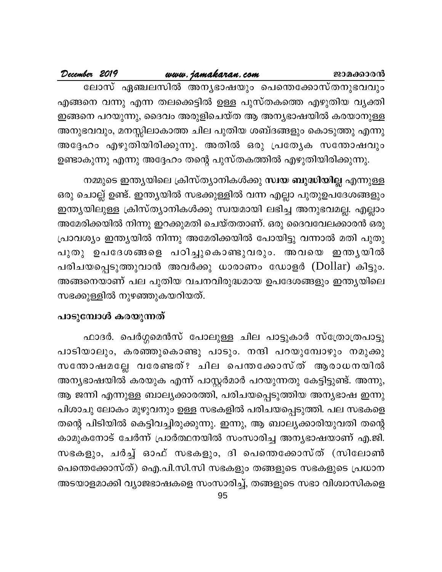|  | December 2019 |                                                                | www.jamakaran.com |  | ജാമക്കാരൻ |
|--|---------------|----------------------------------------------------------------|-------------------|--|-----------|
|  |               | ലോസ് ഏഞ്ചലസിൽ അനൃഭാഷയും പെന്തെക്കോസ്തനുഭവവും                   |                   |  |           |
|  |               | എങ്ങനെ വന്നു എന്ന തലക്കെട്ടിൽ ഉള്ള പുസ്തകത്തെ എഴുതിയ വൃക്തി    |                   |  |           |
|  |               | ഇങ്ങനെ പറയുന്നു, ദൈവം അരുളിചെയ്ത ആ അന്യഭാഷയിൽ കരയാനുള്ള        |                   |  |           |
|  |               | അനുഭവവും, മനസ്സിലാകാത്ത ചില പുതിയ ശബ്ദങ്ങളും കൊടുത്തു എന്നു    |                   |  |           |
|  |               | അദ്ദേഹം എഴുതിയിരിക്കുന്നു. അതിൽ ഒരു പ്രത്യേക സന്തോഷവും         |                   |  |           |
|  |               | ഉണ്ടാകുന്നു എന്നു അദ്ദേഹം തന്റെ പുസ്തകത്തിൽ എഴുതിയിരിക്കുന്നു. |                   |  |           |

നമ്മുടെ ഇന്ത്യയിലെ ക്രിസ്ത്യാനികൾക്കു സ്വയ ബുദ്ധിയില്ല എന്നുള്ള ഒരു ചൊല്ല് ഉണ്ട്. ഇന്ത്യയിൽ സഭക്കുള്ളിൽ വന്ന എല്ലാ പുതുഉപദേശങ്ങളും ഇന്ത്യയിലുള്ള ക്രിസ്ത്യാനികൾക്കു സ്വയമായി ലഭിച്ച അനുഭവമല്ല. എല്ലാം അമേരിക്കയിൽ നിന്നു ഇറക്കുമതി ചെയ്തതാണ്. ഒരു ദൈവവേലക്കാരൻ ഒരു പ്രാവശ്യം ഇന്ത്യയിൽ നിന്നു അമേരിക്കയിൽ പോയിട്ടു വന്നാൽ മതി പുതു പുതു ഉപദേശങ്ങളെ പഠിച്ചുകൊണ്ടുവരും. അവയെ ഇന്തൃയിൽ പരിചയപ്പെടുത്തുവാൻ അവർക്കു ധാരാണം ഡോളർ (Dollar) കിട്ടും. അങ്ങനെയാണ് പല പുതിയ വചനവിരുദ്ധമായ ഉപദേശങ്ങളും ഇന്ത്യയിലെ സഭക്കുള്ളിൽ നുഴഞ്ഞുകയറിയത്.

### പാടുമ്പോൾ കരയുന്നത്

ഫാദർ. പെർഗ്ഗമെൻസ് പോലുള്ള ചില പാട്ടുകാർ സ്ത്രോത്രപാട്ടു പാടിയാലും, കരഞ്ഞുകൊണ്ടു പാടും. നന്ദി പറയുമ്പോഴും നമുക്കു സന്തോഷമല്ലേ വരേണ്ടത്? ചില പെന്തക്കോസ്ത് ആരാധനയിൽ അന്യഭാഷയിൽ കരയുക എന്ന് പാസ്റ്റർമാർ പറയുന്നതു കേട്ടിട്ടുണ്ട്. അന്നു, ആ ജന്നി എന്നുള്ള ബാല്യക്കാരത്തി, പരിചയപ്പെടുത്തിയ അന്യഭാഷ ഇന്നു പിശാചു ലോകം മുഴുവനും ഉള്ള സഭകളിൽ പരിചയപ്പെടുത്തി. പല സഭകളെ തന്റെ പിടിയിൽ കെട്ടിവച്ചിരുക്കുന്നു. ഇന്നു, ആ ബാല്യക്കാരിയുവതി തന്റെ കാമുകനോട് ചേർന്ന് പ്രാർത്ഥനയിൽ സംസാരിച്ച അന്യഭാഷയാണ് എ.ജി. സഭകളും, ചർച്ച് ഓഫ് സഭകളും, ദി പെന്തെക്കോസ്ത് (സിലോൺ പെന്തെക്കോസ്ത്) ഐ.പി.സി.സി സഭകളും തങ്ങളുടെ സഭകളുടെ പ്രധാന അടയാളമാക്കി വ്യാജഭാഷകളെ സംസാരിച്ച്, തങ്ങളുടെ സഭാ വിശ്വാസികളെ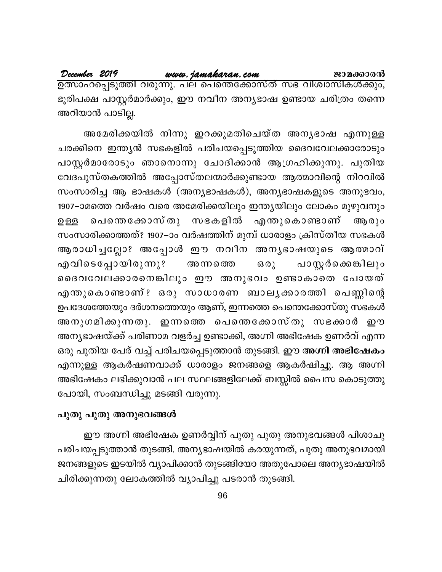ഭൂരിപക്ഷ പാസ്റ്റർമാർക്കും, ഈ നവീന അന്യഭാഷ ഉണ്ടായ ചരിത്രം തന്നെ അറിയാൻ പാടില്ല.

അമേരിക്കയിൽ നിന്നു ഇറക്കുമതിചെയ്ത അന്യഭാഷ എന്നുള്ള ചരക്കിനെ ഇന്ത്യൻ സഭകളിൽ പരിചയപ്പെടുത്തിയ ദൈവവേലക്കാരോടും പാസ്റ്റർമാരോടും ഞാനൊന്നു ചോദിക്കാൻ ആഗ്രഹിക്കുന്നു. പുതിയ വേദപുസ്തകത്തിൽ അപ്പോസ്തലന്മാർക്കുണ്ടായ ആത്മാവിന്റെ നിറവിൽ സംസാരിച്ച ആ ഭാഷകൾ (അന്യഭാഷകൾ), അന്യഭാഷകളുടെ അനുഭവം, 1907–ാമത്തെ വർഷം വരെ അമേരിക്കയിലും ഇന്ത്യയിലും ലോകം മുഴുവനും പെന്തെക്കോസ്തു സഭകളിൽ എന്തുകൊണ്ടാണ് ആരും ഉള്ള സംസാരിക്കാത്തത്? 1907–ാം വർഷത്തിന് മുമ്പ് ധാരാളം ക്രിസ്തീയ സഭകൾ ആരാധിച്ചല്ലോ? അപ്പോൾ ഈ നവീന അന്യഭാഷയുടെ ആത്മാവ് എവിടെപ്പോയിരുന്നു? പാസ്റ്റർക്കെ**ങ്കിലും** ഒരു അന്നത്തെ ദൈവവേലക്കാരനെങ്കിലും ഈ അനുഭവം ഉണ്ടാകാതെ പോയത് എന്തുകൊണ്ടാണ്? ഒരു സാധാരണ ബാലൃക്കാരത്തി പെണ്ണിന്റെ ഉപദേശത്തേയും ദർശനത്തെയും ആണ്, ഇന്നത്തെ പെന്തെക്കോസ്തു സഭകൾ അനുഗമിക്കുന്നതു. ഇന്നത്തെ പെന്തെക്കോസ്തു സഭക്കാർ ഈ അന്യഭാഷയ്ക്ക് പരിണാമ വളർച്ച ഉണ്ടാക്കി, അഗ്നി അഭിഷേക ഉണർവ് എന്ന ഒരു പുതിയ പേര് വച്ച് പരിചയപ്പെടുത്താൻ തുടങ്ങി. ഈ അഗ്നി അഭിഷേകം എന്നുള്ള ആകർഷണവാക്ക് ധാരാളം ജനങ്ങളെ ആകർഷിച്ചു. ആ അഗ്നി അഭിഷേകം ലഭിക്കുവാൻ പല സ്ഥലങ്ങളിലേക്ക് ബസ്സിൽ പൈസ കൊടുത്തു പോയി, സംബന്ധിച്ചു മടങ്ങി വരുന്നു.

#### പുതു പുതു അനുഭവങ്ങൾ

ഈ അഗ്നി അഭിഷേക ഉണർവ്വിന് പുതു പുതു അനുഭവങ്ങൾ പിശാചു പരിചയപ്പടുത്താൻ തുടങ്ങി. അന്യഭാഷയിൽ കരയുന്നത്, പുതു അനുഭവമായി ജനങ്ങളുടെ ഇടയിൽ വ്യാപിക്കാൻ തുടങ്ങിയോ അതുപോലെ അന്യഭാഷയിൽ ചിരിക്കുന്നതു ലോകത്തിൽ വ്യാപിച്ചു പടരാൻ തുടങ്ങി.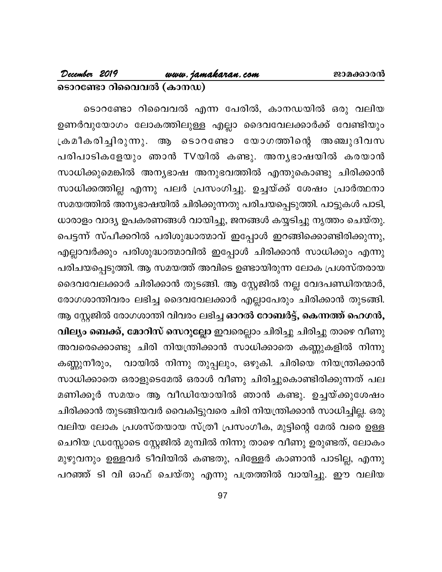ടൊറണ്ടോ റിവൈവൽ എന്ന പേരിൽ, കാനഡയിൽ ഒരു വലിയ ഉണർവുയോഗം ലോകത്തിലുള്ള എല്ലാ ദൈവവേലക്കാർക്ക് വേണ്ടിയും ക്രമീകരിച്ചിരുന്നു. ആ ടൊറണ്ടോ യോഗത്തിന്റെ അഞ്ചുദിവസ പരിപാടികളേയും ഞാൻ TVയിൽ കണ്ടു. അനൃഭാഷയിൽ കരയാൻ സാധിക്കുമെങ്കിൽ അന്യഭാഷ അനുഭവത്തിൽ എന്തുകൊണ്ടു ചിരിക്കാൻ സാധിക്കത്തില്ല എന്നു പലർ പ്രസംഗിച്ചു. ഉച്ചയ്ക്ക് ശേഷം പ്രാർത്ഥനാ സമയത്തിൽ അന്യഭാഷയിൽ ചിരിക്കുന്നതു പരിചയപ്പെടുത്തി. പാട്ടുകൾ പാടി, ധാരാളം വാദ്യ ഉപകരണങ്ങൾ വായിച്ചു, ജനങ്ങൾ കയ്യടിച്ചു നൃത്തം ചെയ്തു. പെട്ടന്ന് സ്പീക്കറിൽ പരിശുദ്ധാത്മാവ് ഇപ്പോൾ ഇറങ്ങിക്കൊണ്ടിരിക്കുന്നു, എല്ലാവർക്കും പരിശുദ്ധാത്മാവിൽ ഇപ്പോൾ ചിരിക്കാൻ സാധിക്കും എന്നു പരിചയപ്പെടുത്തി. ആ സമയത്ത് അവിടെ ഉണ്ടായിരുന്ന ലോക പ്രശസ്തരായ ദൈവവേലക്കാർ ചിരിക്കാൻ തുടങ്ങി. ആ സ്റ്റേജിൽ നല്ല വേദപണ്ഡിതന്മാർ, രോഗശാന്തിവരം ലഭിച്ച ദൈവവേലക്കാർ എല്ലാപേരും ചിരിക്കാൻ തുടങ്ങി. ആ സ്റ്റേജിൽ രോഗശാന്തി വിവരം ലഭിച്ച ഓറൽ റോബർട്ട്, കെന്നത്ത് ഹെഗൻ, വില്യം ബെക്ക്, മോറിസ് സെറുല്ലോ ഇവരെല്ലാം ചിരിച്ചു ചിരിച്ചു താഴെ വീണു അവരെക്കൊണ്ടു ചിരി നിയന്ത്രിക്കാൻ സാധിക്കാതെ കണ്ണുകളിൽ നിന്നു വായിൽ നിന്നു തുപ്പലും, ഒഴുകി. ചിരിയെ നിയന്ത്രിക്കാൻ കണ്ണുനീരും, സാധിക്കാതെ ഒരാളുടെമേൽ ഒരാൾ വീണു ചിരിച്ചുകൊണ്ടിരിക്കുന്നത് പല മണിക്കൂർ സമയം ആ വീഡിയോയിൽ ഞാൻ കണ്ടു. ഉച്ചയ്ക്കുശേഷം ചിരിക്കാൻ തുടങ്ങിയവർ വൈകിട്ടുവരെ ചിരി നിയന്ത്രിക്കാൻ സാധിച്ചില്ല. ഒരു വലിയ ലോക പ്രശസ്തയായ സ്ത്രീ പ്രസംഗീക, മുട്ടിന്റെ മേൽ വരെ ഉള്ള ചെറിയ ഡ്രസ്സോടെ സ്റ്റേജിൽ മുമ്പിൽ നിന്നു താഴെ വീണു ഉരുണ്ടത്, ലോകം മുഴുവനും ഉള്ളവർ ടീവിയിൽ കണ്ടതു, പിള്ളേർ കാണാൻ പാടില്ല, എന്നു പറഞ്ഞ് ടി വി ഓഫ് ചെയ്തു എന്നു പത്രത്തിൽ വായിച്ചു. ഈ വലിയ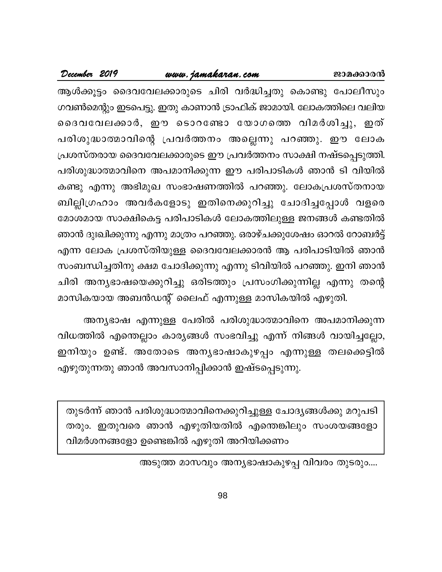#### www.jamakaran.com

December 2019

ആൾക്കൂട്ടം ദൈവവേലക്കാരുടെ ചിരി വർദ്ധിച്ചതു കൊണ്ടു പോലീസും ഗവൺമെന്റും ഇടപെട്ടു. ഇതു കാണാൻ ട്രാഫിക് ജാമായി. ലോകത്തിലെ വലിയ ദൈവവേലക്കാർ, ഈ ടൊറണ്ടോ യോഗത്തെ വിമർശിച്ചു, ഇത് പരിശുദ്ധാത്മാവിന്റെ പ്രവർത്തനം അല്ലെന്നു പറഞ്ഞു. ഈ ലോക പ്രശസ്തരായ ദൈവവേലക്കാരുടെ ഈ പ്രവർത്തനം സാക്ഷി നഷ്ടപ്പെടുത്തി. പരിശുദ്ധാത്മാവിനെ അപമാനിക്കുന്ന ഈ പരിപാടികൾ ഞാൻ ടി വിയിൽ കണ്ടു എന്നു അഭിമുഖ സംഭാഷണത്തിൽ പറഞ്ഞു. ലോകപ്രശസ്തനായ ബില്ലിഗ്രഹാം അവർകളോടു ഇതിനെക്കുറിച്ചു ചോദിച്ചപ്പോൾ വളരെ മോശമായ സാക്ഷികെട്ട പരിപാടികൾ ലോകത്തിലുള്ള ജനങ്ങൾ കണ്ടതിൽ ഞാൻ ദുഃഖിക്കുന്നു എന്നു മാത്രം പറഞ്ഞു. ഒരാഴ്ചക്കുശേഷം ഓറൽ റോബർട്ട് എന്ന ലോക പ്രശസ്തിയുള്ള ദൈവവേലക്കാരൻ ആ പരിപാടിയിൽ ഞാൻ സംബന്ധിച്ചതിനു ക്ഷമ ചോദിക്കുന്നു എന്നു ടിവിയിൽ പറഞ്ഞു. ഇനി ഞാൻ ചിരി അന്യഭാഷയെക്കുറിച്ചു ഒരിടത്തും പ്രസംഗിക്കുന്നില്ല എന്നു തന്റെ മാസികയായ അബൻഡന്റ് ലൈഫ് എന്നുള്ള മാസികയിൽ എഴുതി.

അന്യഭാഷ എന്നുള്ള പേരിൽ പരിശുദ്ധാത്മാവിനെ അപമാനിക്കുന്ന വിധത്തിൽ എന്തെല്ലാം കാര്യങ്ങൾ സംഭവിച്ചു എന്ന് നിങ്ങൾ വായിച്ചല്ലോ, ഇനിയും ഉണ്ട്. അതോടെ അന്യഭാഷാകുഴപ്പം എന്നുള്ള തലക്കെട്ടിൽ എഴുതുന്നതു ഞാൻ അവസാനിപ്പിക്കാൻ ഇഷ്ടപ്പെടുന്നു.

തുടർന്ന് ഞാൻ പരിശുദ്ധാത്മാവിനെക്കുറിച്ചുള്ള ചോദ്യങ്ങൾക്കു മറുപടി തരും. ഇതുവരെ ഞാൻ എഴുതിയതിൽ എന്തെങ്കിലും സംശയങ്ങളോ വിമർശനങ്ങളോ ഉണ്ടെങ്കിൽ എഴുതി അറിയിക്കണം

അടുത്ത മാസവും അന്യഭാഷാകുഴപ്പ വിവരം തുടരും....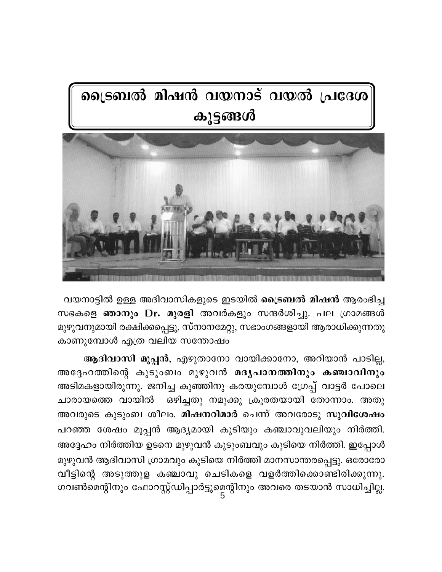# ട്രൈബൽ മിഷൻ വയനാട് വയൽ പ്രദേശ കൂട്ടങ്ങൾ



വയനാട്ടിൽ ഉള്ള അദിവാസികളുടെ ഇടയിൽ ക്രൈബൽ മിഷൻ ആരംഭിച്ച സഭകളെ **ഞാനും Dr. മുരളി** അവർകളും സന്ദർശിച്ചു. പല ഗ്രാമങ്ങൾ മുഴുവനുമായി രക്ഷിക്കപ്പെട്ടു, സ്നാനമേറ്റു, സഭാംഗങ്ങളായി ആരാധിക്കുന്നതു കാണുമ്പോൾ എത്ര വലിയ സന്തോഷം

ആദിവാസി മൂപ്പൻ, എഴുതാനോ വായിക്കാനോ, അറിയാൻ പാടില്ല, അദ്ദേഹത്തിന്റെ കുടുംബം മുഴുവൻ മദൃപാനത്തിനും കഞ്ചാവിനും അടിമകളായിരുന്നു. ജനിച്ച കുഞ്ഞിനു കരയുമ്പോൾ ഗ്രേപ്പ് വാട്ടർ പോലെ ഒഴിച്ചതു നമുക്കു ക്രൂരതയായി തോന്നാം. അതു ചാരായത്തെ വായിൽ അവരുടെ കുടുംബ ശീലം. മിഷനറിമാർ ചെന്ന് അവരോടു സുവിശേഷം പറഞ്ഞ ശേഷം മൂപ്പൻ ആദ്യമായി കുടിയും കഞ്ചാവുവലിയും നിർത്തി. അദ്ദേഹം നിർത്തിയ ഉടനെ മുഴുവൻ കുടുംബവും കുടിയെ നിർത്തി. ഇപ്പോൾ മുഴുവൻ ആദിവാസി ഗ്രാമവും കുടിയെ നിർത്തി മാനസാന്തരപ്പെട്ടു. ഒരോരോ വീട്ടിന്റെ അടുത്തുള കഞ്ചാവു ചെടികളെ വളർത്തിക്കൊണ്ടിരിക്കുന്നു. ഗവൺമെന്റിനും ഫോറസ്റ്റ്ഡിപ്പാർട്ടുമെന്റിനും അവരെ തടയാൻ സാധിച്ചില്ല.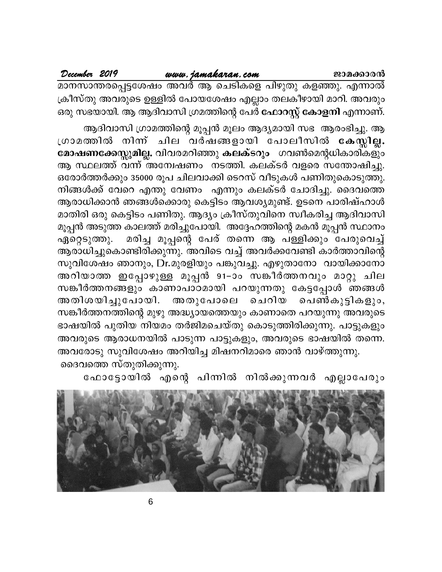www.jamakaran.com ജാമക്കാരൻ

മാനസാന്തരപ്പെട്ടശേഷം അവർ ആ ചെടികളെ പിഴുതു കളഞ്ഞു. എന്നാൽ ക്രീസ്തു അവരുടെ ഉള്ളിൽ പോയശേഷം എല്ലാം തലകീഴായി മാറി. അവരും ഒരു സഭയായി. ആ ആദിവാസി ഗ്രമത്തിന്റെ പേർ ഫോറസ്റ്റ് കോളനി എന്നാണ്.

ആദിവാസി ഗ്രാമത്തിന്റെ മൂപ്പൻ മൂലം ആദ്യമായി സഭ ആരംഭിച്ചു. ആ ശ്രാമത്തിൽ നിന്ന് ചില വർഷങ്ങളായി പോലീസിൽ കേസ്സില്ല. മോഷണക്കേസ്സുമില്ല. വിവരമറിഞ്ഞു കലക്ടറും ഗവൺമെന്റധികാരികളും ആ സ്ഥലത്ത് വന്ന് അന്വേഷണം നടത്തി. കലക്ടർ വളരെ സന്തോഷിച്ചു. ഒരോർത്തർക്കും 35000 രൂപ ചിലവാക്കി ടെറസ് വീടുകൾ പണിതുകൊടുത്തു. നിങ്ങൾക്ക് വേറെ എന്തു വേണം എന്നും കലക്ടർ ചോദിച്ചു. ദൈവത്തെ ആരാധിക്കാൻ ഞങ്ങൾക്കൊരു കെട്ടിടം ആവശ്യമുണ്ട്. ഉടനെ പാരിഷ്ഹാൾ മാതിരി ഒരു കെട്ടിടം പണിതു. ആദ്യം ക്രീസ്തുവിനെ സ്വീകരിച്ച ആദിവാസി മൂപ്പൻ അടുത്ത കാലത്ത് മരിച്ചുപോയി. അദ്ദേഹത്തിന്റെ മകൻ മൂപ്പൻ സ്ഥാനം മരിച്ച മൂപ്പന്റെ പേര് തന്നെ ആ പള്ളിക്കും പേരുവെച്ച് ഏറ്റെടുത്തു. ആരാധിച്ചുകൊണ്ടിരിക്കുന്നു. അവിടെ വച്ച് അവർക്കവേണ്ടി കാർത്താവിന്റെ സുവിശേഷം ഞാനും, Dr.മുരളിയും പങ്കുവച്ചു. എഴുതാനോ വായിക്കാനോ അറിയാത്ത ഇപ്പോഴുള്ള മൂപ്പൻ 91–ാം സങ്കീർത്തനവും മാറ്റു ചില സങ്കീർത്തനങ്ങളും കാണാപാഠമായി പറയുന്നതു കേട്ടപ്പോൾ ഞങ്ങൾ അതിശയിച്ചുപോയി. അതുപോലെ ചെറിയ പെൺകുട്ടികളും, സങ്കീർത്തനത്തിന്റെ മുഴു അദ്ധ്യായത്തെയും കാണാതെ പറയുന്നു അവരുടെ ഭാഷയിൽ പുതിയ നിയമം തർജിമചെയ്തു കൊടുത്തിരിക്കുന്നു. പാട്ടുകളും അവരുടെ ആരാധനയിൽ പാടുന്ന പാട്ടുകളും, അവരുടെ ഭാഷയിൽ തന്നെ. അവരോടു സുവിശേഷം അറിയിച്ച മിഷനറിമാരെ ഞാൻ വാഴ്ത്തുന്നു. ദൈവത്തെ സ്തുതിക്കുന്നു.

ഫോട്ടോയിൽ എന്റെ പിന്നിൽ നിൽക്കുന്നവർ എല്ലാപേരും

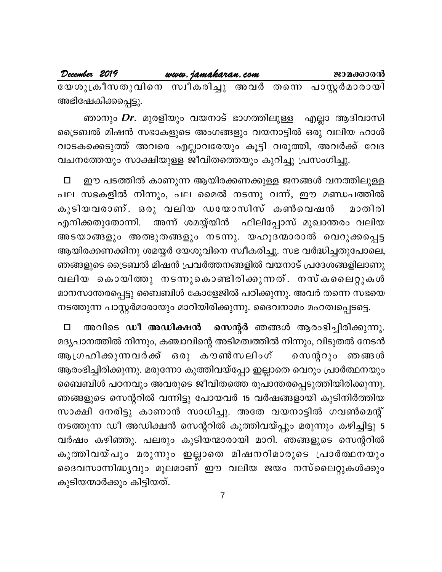| December 2019                                        | www.jamakaran.com |  | ജാമക്കാരൻ |
|------------------------------------------------------|-------------------|--|-----------|
| യേശുക്രീസതുവിനെ സ്വീകരിച്ചു അവർ തന്നെ പാസ്റ്റർമാരായി |                   |  |           |
| അഭിഷേകിക്കപ്പെട്ടു.                                  |                   |  |           |

ഞാനും *Dr*. മുരളിയും വയനാട് ഭാഗത്തിലുള്ള എല്ലാ ആദിവാസി ട്രൈബൽ മിഷൻ സഭാകളുടെ അംഗങ്ങളും വയനാട്ടിൽ ഒരു വലിയ ഹാൾ വാടകക്കെടുത്ത് അവരെ എല്ലാവരേയും കൂട്ടി വരുത്തി, അവർക്ക് വേദ വചനത്തേയും സാക്ഷിയുള്ള ജീവിതത്തെയും കുറിച്ചു പ്രസംഗിച്ചു.

ഈ പടത്തിൽ കാണുന്ന ആയിരക്കണക്കുള്ള ജനങ്ങൾ വനത്തിലുള്ള  $\Box$ പല സഭകളിൽ നിന്നും, പല മൈൽ നടന്നു വന്ന്, ഈ മണ്ഡപത്തിൽ കുടിയവരാണ്. ഒരു വലിയ ഡയോസിസ് കൺവെഷൻ മാതിരി ഫിലിപ്പോസ് മുഖാന്തരം വലിയ എനിക്കതുതോന്നി. അന്ന് ശമയ്യ്യിൻ അടയാങ്ങളും അത്ഭുതങ്ങളും നടന്നു. യഹൂദന്മാരാൽ വെറുക്കപ്പെട്ട ആയിരക്കണക്കിനു ശമയ്യർ യേശുവിനെ സ്വീകരിച്ചു. സഭ വർദ്ധിച്ചതുപോലെ, ഞങ്ങളുടെ ട്രൈബൽ മിഷൻ പ്രവർത്തനങ്ങളിൽ വയനാട് പ്രദേശങ്ങളിലാണു വലിയ കൊയിത്തു നടന്നുകൊണ്ടിരിക്കുന്നത്. നസ്കലൈറ്റുകൾ മാനസാന്തരപ്പെട്ടു ബൈബിൾ കോളേജിൽ പഠിക്കുന്നു. അവർ തന്നെ സഭയെ നടത്തുന്ന പാസ്റ്റർമാരായും മാറിയിരിക്കുന്നു. ദൈവനാമം മഹത്വപ്പെടട്ടെ.

സെന്റർ ഞങ്ങൾ ആരംഭിച്ചിരിക്കുന്നു. അവിടെ ഡീ അഡിക്ഷൻ  $\Box$ മദൃപാനത്തിൽ നിന്നും, കഞ്ചാവിന്റെ അടിമത്വത്തിൽ നിന്നും, വിടുതൽ നേടൻ ആഗ്രഹിക്കുന്നവർക്ക് ഒരു കൗൺസലിംഗ് സെന്ററും ഞങ്ങൾ ആരംഭിച്ചിരിക്കുന്നു. മരുന്നോ കുത്തിവയ്പ്പോ ഇല്ലാതെ വെറും പ്രാർത്ഥനയും ബൈബിൾ പഠനവും അവരുടെ ജീവിതത്തെ രൂപാന്തരപ്പെടുത്തിയിരിക്കുന്നു. ഞങ്ങളുടെ സെന്ററിൽ വന്നിട്ടു പോയവർ 15 വർഷങ്ങളായി കുടിനിർത്തിയ സാക്ഷി നേരിട്ടു കാണാൻ സാധിച്ചു. അതേ വയനാട്ടിൽ ഗവൺമെന്റ് നടത്തുന്ന ഡീ അഡിക്ഷൻ സെന്ററിൽ കുത്തിവയ്പ്പും മരുന്നും കഴിച്ചിട്ടു 5 വർഷം കഴിഞ്ഞു. പലരും കുടിയന്മാരായി മാറി. ഞങ്ങളുടെ സെന്ററിൽ കുത്തിവയ്പും മരുന്നും ഇല്ലാതെ മിഷനറിമാരുടെ പ്രാർത്ഥനയും ദൈവസാന്നിദ്ധ്യവും മൂലമാണ് ഈ വലിയ ജയം നസ്ലൈറ്റുകൾക്കും കുടിയന്മാർക്കും കിട്ടിയത്.

 $\overline{7}$